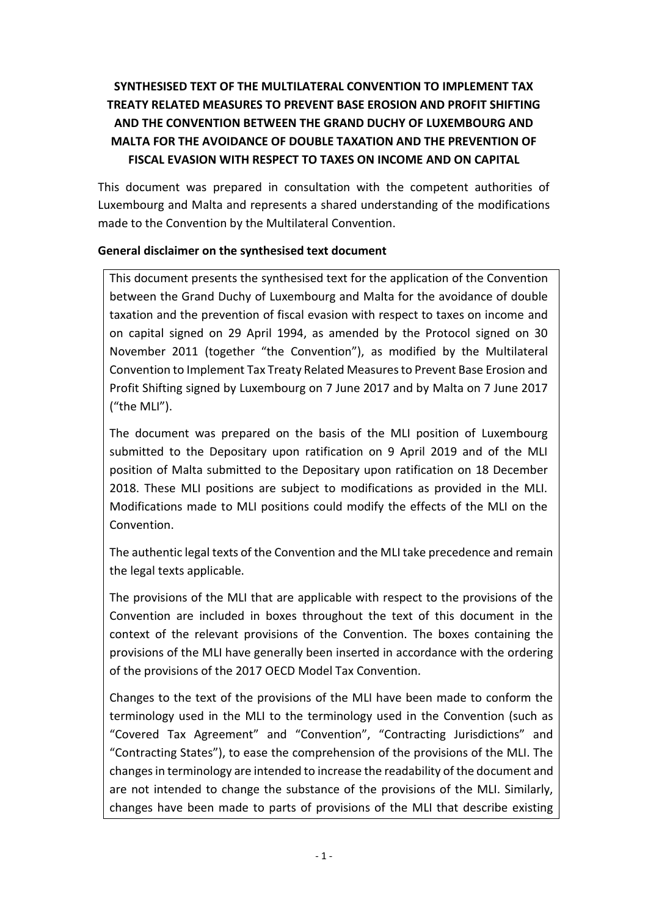# **SYNTHESISED TEXT OF THE MULTILATERAL CONVENTION TO IMPLEMENT TAX TREATY RELATED MEASURES TO PREVENT BASE EROSION AND PROFIT SHIFTING AND THE CONVENTION BETWEEN THE GRAND DUCHY OF LUXEMBOURG AND MALTA FOR THE AVOIDANCE OF DOUBLE TAXATION AND THE PREVENTION OF FISCAL EVASION WITH RESPECT TO TAXES ON INCOME AND ON CAPITAL**

This document was prepared in consultation with the competent authorities of Luxembourg and Malta and represents a shared understanding of the modifications made to the Convention by the Multilateral Convention.

#### **General disclaimer on the synthesised text document**

This document presents the synthesised text for the application of the Convention between the Grand Duchy of Luxembourg and Malta for the avoidance of double taxation and the prevention of fiscal evasion with respect to taxes on income and on capital signed on 29 April 1994, as amended by the Protocol signed on 30 November 2011 (together "the Convention"), as modified by the Multilateral Convention to Implement Tax Treaty Related Measures to Prevent Base Erosion and Profit Shifting signed by Luxembourg on 7 June 2017 and by Malta on 7 June 2017 ("the MLI").

The document was prepared on the basis of the MLI position of Luxembourg submitted to the Depositary upon ratification on 9 April 2019 and of the MLI position of Malta submitted to the Depositary upon ratification on 18 December 2018. These MLI positions are subject to modifications as provided in the MLI. Modifications made to MLI positions could modify the effects of the MLI on the Convention.

The authentic legal texts of the Convention and the MLI take precedence and remain the legal texts applicable.

The provisions of the MLI that are applicable with respect to the provisions of the Convention are included in boxes throughout the text of this document in the context of the relevant provisions of the Convention. The boxes containing the provisions of the MLI have generally been inserted in accordance with the ordering of the provisions of the 2017 OECD Model Tax Convention.

Changes to the text of the provisions of the MLI have been made to conform the terminology used in the MLI to the terminology used in the Convention (such as "Covered Tax Agreement" and "Convention", "Contracting Jurisdictions" and "Contracting States"), to ease the comprehension of the provisions of the MLI. The changes in terminology are intended to increase the readability of the document and are not intended to change the substance of the provisions of the MLI. Similarly, changes have been made to parts of provisions of the MLI that describe existing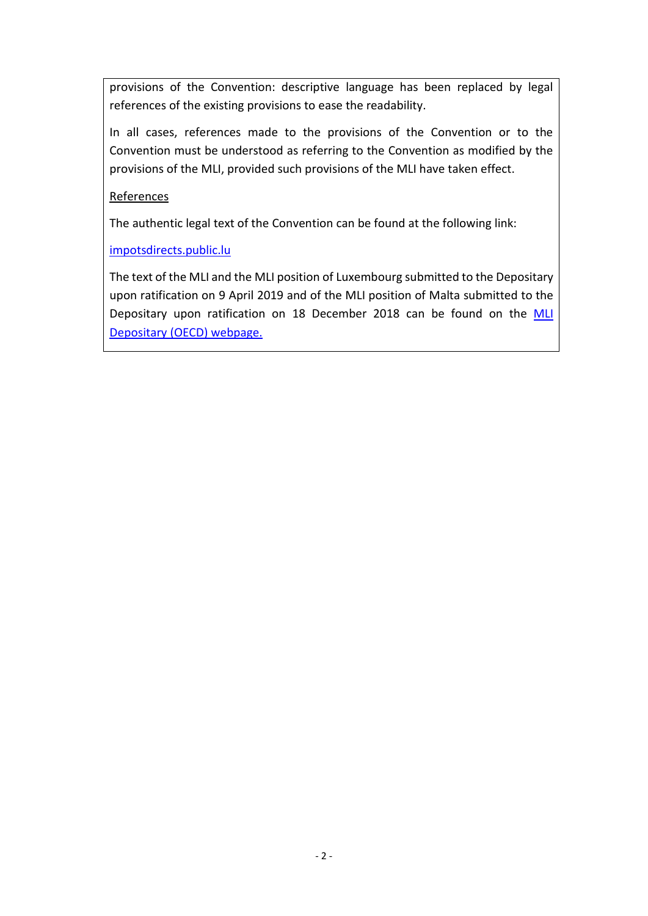provisions of the Convention: descriptive language has been replaced by legal references of the existing provisions to ease the readability.

In all cases, references made to the provisions of the Convention or to the Convention must be understood as referring to the Convention as modified by the provisions of the MLI, provided such provisions of the MLI have taken effect.

#### **References**

The authentic legal text of the Convention can be found at the following link:

[impotsdirects.public.lu](https://impotsdirects.public.lu/fr.html)

The text of the MLI and the MLI position of Luxembourg submitted to the Depositary upon ratification on 9 April 2019 and of the MLI position of Malta submitted to the Depositary upon ratification on 18 December 2018 can be found on the MLI [Depositary \(OECD\) webpage.](https://www.oecd.org/tax/treaties/multilateral-convention-to-implement-tax-treaty-related-measures-to-prevent-beps.htm)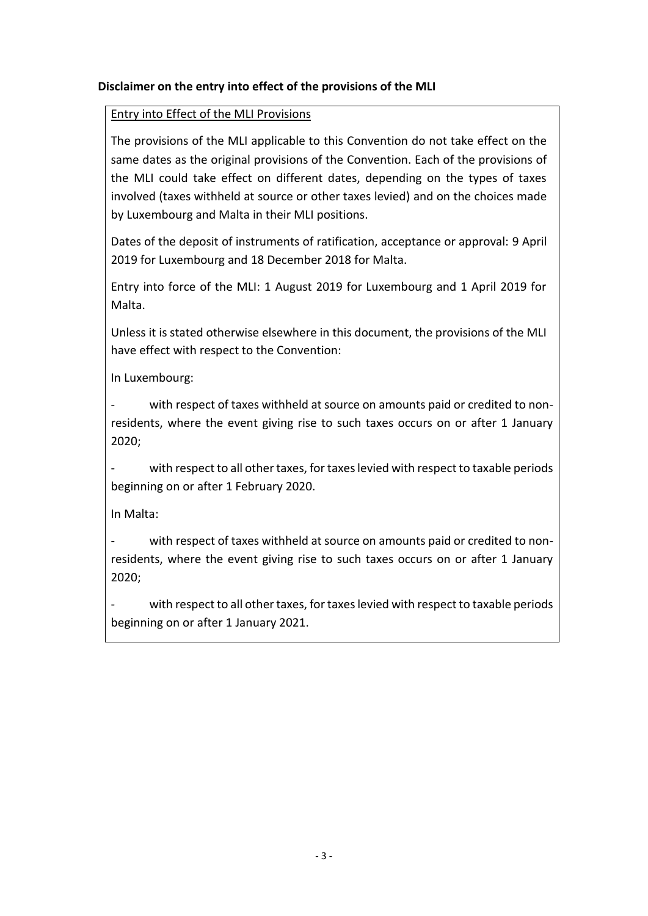#### **Disclaimer on the entry into effect of the provisions of the MLI**

#### Entry into Effect of the MLI Provisions

The provisions of the MLI applicable to this Convention do not take effect on the same dates as the original provisions of the Convention. Each of the provisions of the MLI could take effect on different dates, depending on the types of taxes involved (taxes withheld at source or other taxes levied) and on the choices made by Luxembourg and Malta in their MLI positions.

Dates of the deposit of instruments of ratification, acceptance or approval: 9 April 2019 for Luxembourg and 18 December 2018 for Malta.

Entry into force of the MLI: 1 August 2019 for Luxembourg and 1 April 2019 for Malta.

Unless it is stated otherwise elsewhere in this document, the provisions of the MLI have effect with respect to the Convention:

In Luxembourg:

with respect of taxes withheld at source on amounts paid or credited to nonresidents, where the event giving rise to such taxes occurs on or after 1 January 2020;

with respect to all other taxes, for taxes levied with respect to taxable periods beginning on or after 1 February 2020.

In Malta:

with respect of taxes withheld at source on amounts paid or credited to nonresidents, where the event giving rise to such taxes occurs on or after 1 January 2020;

with respect to all other taxes, for taxes levied with respect to taxable periods beginning on or after 1 January 2021.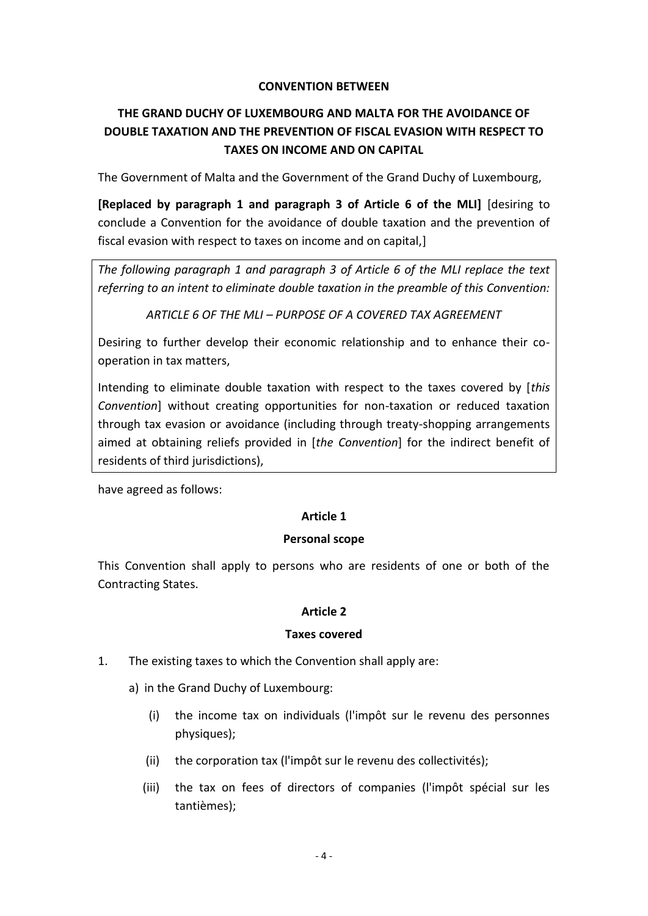#### **CONVENTION BETWEEN**

# **THE GRAND DUCHY OF LUXEMBOURG AND MALTA FOR THE AVOIDANCE OF DOUBLE TAXATION AND THE PREVENTION OF FISCAL EVASION WITH RESPECT TO TAXES ON INCOME AND ON CAPITAL**

The Government of Malta and the Government of the Grand Duchy of Luxembourg,

**[Replaced by paragraph 1 and paragraph 3 of Article 6 of the MLI]** [desiring to conclude a Convention for the avoidance of double taxation and the prevention of fiscal evasion with respect to taxes on income and on capital,]

*The following paragraph 1 and paragraph 3 of Article 6 of the MLI replace the text referring to an intent to eliminate double taxation in the preamble of this Convention:*

*ARTICLE 6 OF THE MLI – PURPOSE OF A COVERED TAX AGREEMENT*

Desiring to further develop their economic relationship and to enhance their cooperation in tax matters,

Intending to eliminate double taxation with respect to the taxes covered by [*this Convention*] without creating opportunities for non-taxation or reduced taxation through tax evasion or avoidance (including through treaty-shopping arrangements aimed at obtaining reliefs provided in [*the Convention*] for the indirect benefit of residents of third jurisdictions),

have agreed as follows:

#### **Article 1**

#### **Personal scope**

This Convention shall apply to persons who are residents of one or both of the Contracting States.

#### **Article 2**

#### **Taxes covered**

- 1. The existing taxes to which the Convention shall apply are:
	- a) in the Grand Duchy of Luxembourg:
		- (i) the income tax on individuals (l'impôt sur le revenu des personnes physiques);
		- (ii) the corporation tax (l'impôt sur le revenu des collectivités);
		- (iii) the tax on fees of directors of companies (l'impôt spécial sur les tantièmes);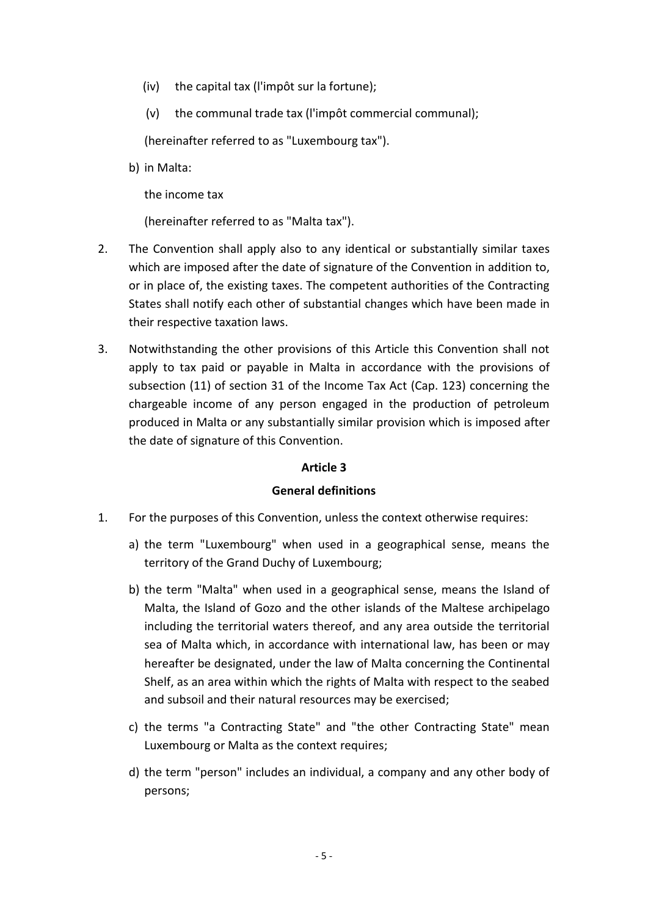- (iv) the capital tax (l'impôt sur la fortune);
- (v) the communal trade tax (l'impôt commercial communal);

(hereinafter referred to as "Luxembourg tax").

b) in Malta:

the income tax

(hereinafter referred to as "Malta tax").

- 2. The Convention shall apply also to any identical or substantially similar taxes which are imposed after the date of signature of the Convention in addition to, or in place of, the existing taxes. The competent authorities of the Contracting States shall notify each other of substantial changes which have been made in their respective taxation laws.
- 3. Notwithstanding the other provisions of this Article this Convention shall not apply to tax paid or payable in Malta in accordance with the provisions of subsection (11) of section 31 of the Income Tax Act (Cap. 123) concerning the chargeable income of any person engaged in the production of petroleum produced in Malta or any substantially similar provision which is imposed after the date of signature of this Convention.

#### **Article 3**

#### **General definitions**

- 1. For the purposes of this Convention, unless the context otherwise requires:
	- a) the term "Luxembourg" when used in a geographical sense, means the territory of the Grand Duchy of Luxembourg;
	- b) the term "Malta" when used in a geographical sense, means the Island of Malta, the Island of Gozo and the other islands of the Maltese archipelago including the territorial waters thereof, and any area outside the territorial sea of Malta which, in accordance with international law, has been or may hereafter be designated, under the law of Malta concerning the Continental Shelf, as an area within which the rights of Malta with respect to the seabed and subsoil and their natural resources may be exercised;
	- c) the terms "a Contracting State" and "the other Contracting State" mean Luxembourg or Malta as the context requires;
	- d) the term "person" includes an individual, a company and any other body of persons;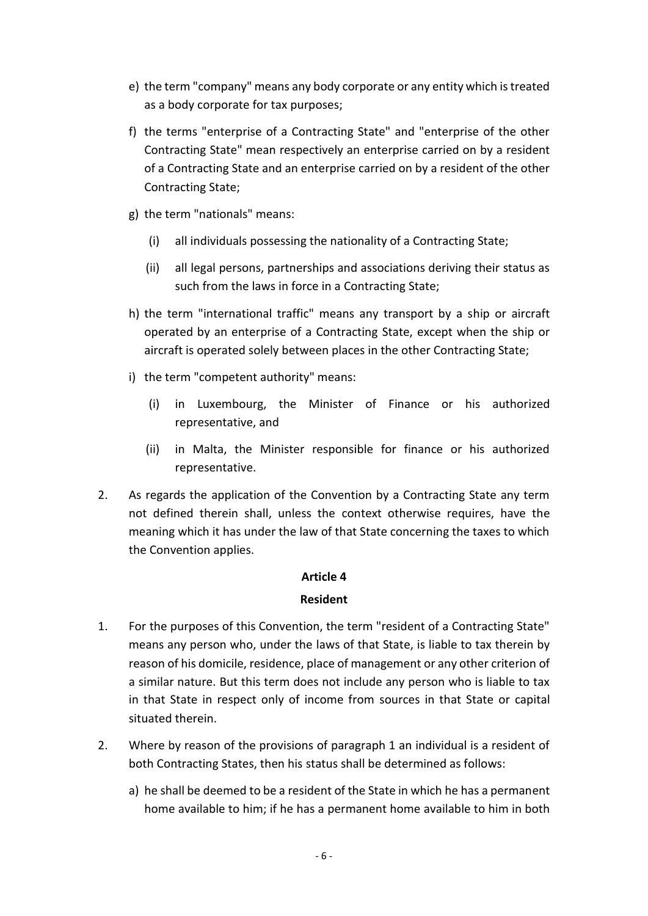- e) the term "company" means any body corporate or any entity which is treated as a body corporate for tax purposes;
- f) the terms "enterprise of a Contracting State" and "enterprise of the other Contracting State" mean respectively an enterprise carried on by a resident of a Contracting State and an enterprise carried on by a resident of the other Contracting State;
- g) the term "nationals" means:
	- (i) all individuals possessing the nationality of a Contracting State;
	- (ii) all legal persons, partnerships and associations deriving their status as such from the laws in force in a Contracting State;
- h) the term "international traffic" means any transport by a ship or aircraft operated by an enterprise of a Contracting State, except when the ship or aircraft is operated solely between places in the other Contracting State;
- i) the term "competent authority" means:
	- (i) in Luxembourg, the Minister of Finance or his authorized representative, and
	- (ii) in Malta, the Minister responsible for finance or his authorized representative.
- 2. As regards the application of the Convention by a Contracting State any term not defined therein shall, unless the context otherwise requires, have the meaning which it has under the law of that State concerning the taxes to which the Convention applies.

#### **Resident**

- 1. For the purposes of this Convention, the term "resident of a Contracting State" means any person who, under the laws of that State, is liable to tax therein by reason of his domicile, residence, place of management or any other criterion of a similar nature. But this term does not include any person who is liable to tax in that State in respect only of income from sources in that State or capital situated therein.
- 2. Where by reason of the provisions of paragraph 1 an individual is a resident of both Contracting States, then his status shall be determined as follows:
	- a) he shall be deemed to be a resident of the State in which he has a permanent home available to him; if he has a permanent home available to him in both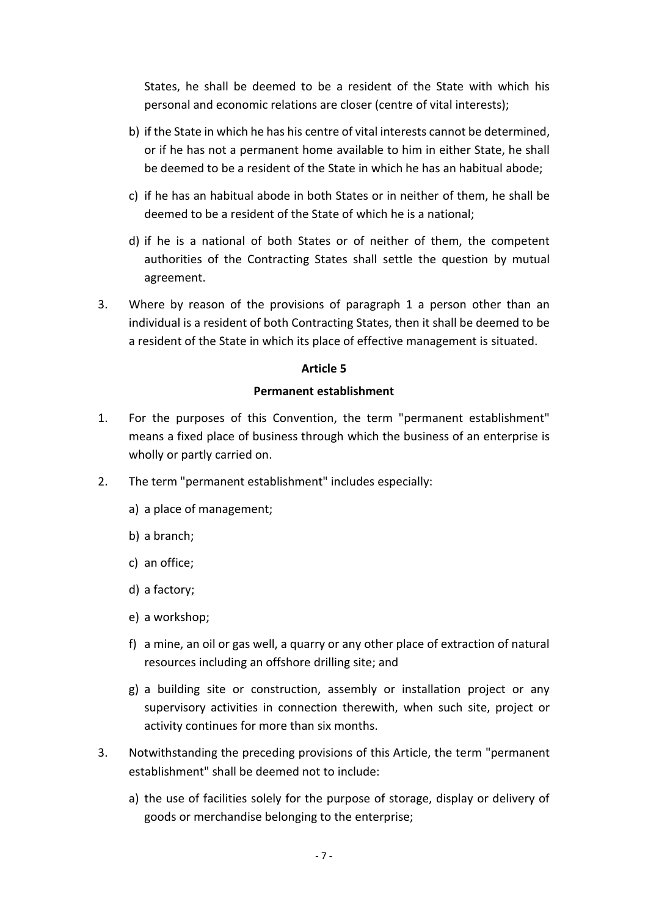States, he shall be deemed to be a resident of the State with which his personal and economic relations are closer (centre of vital interests);

- b) if the State in which he has his centre of vital interests cannot be determined, or if he has not a permanent home available to him in either State, he shall be deemed to be a resident of the State in which he has an habitual abode;
- c) if he has an habitual abode in both States or in neither of them, he shall be deemed to be a resident of the State of which he is a national;
- d) if he is a national of both States or of neither of them, the competent authorities of the Contracting States shall settle the question by mutual agreement.
- 3. Where by reason of the provisions of paragraph 1 a person other than an individual is a resident of both Contracting States, then it shall be deemed to be a resident of the State in which its place of effective management is situated.

#### **Article 5**

#### **Permanent establishment**

- 1. For the purposes of this Convention, the term "permanent establishment" means a fixed place of business through which the business of an enterprise is wholly or partly carried on.
- 2. The term "permanent establishment" includes especially:
	- a) a place of management;
	- b) a branch;
	- c) an office;
	- d) a factory;
	- e) a workshop;
	- f) a mine, an oil or gas well, a quarry or any other place of extraction of natural resources including an offshore drilling site; and
	- g) a building site or construction, assembly or installation project or any supervisory activities in connection therewith, when such site, project or activity continues for more than six months.
- 3. Notwithstanding the preceding provisions of this Article, the term "permanent establishment" shall be deemed not to include:
	- a) the use of facilities solely for the purpose of storage, display or delivery of goods or merchandise belonging to the enterprise;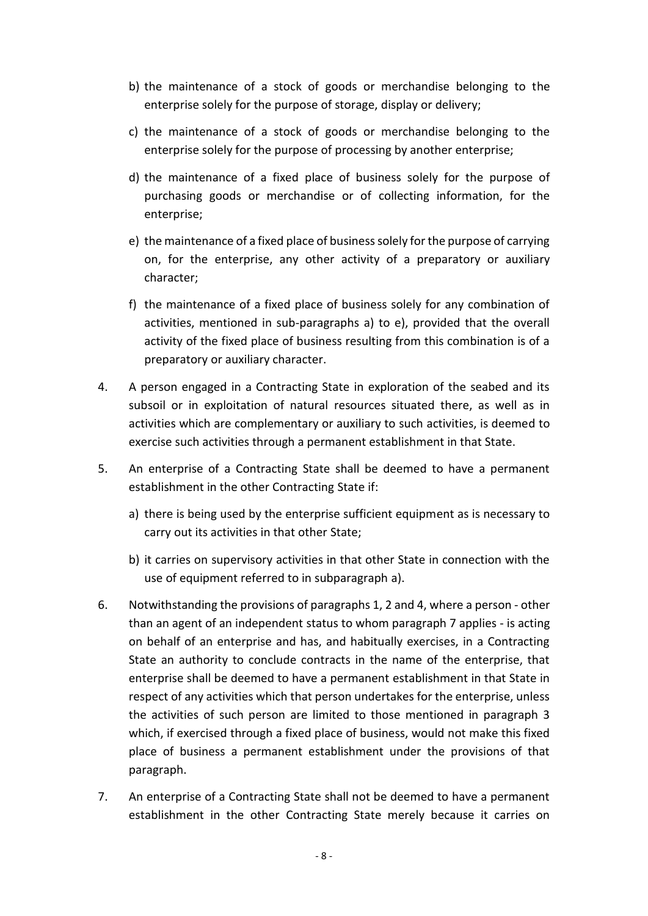- b) the maintenance of a stock of goods or merchandise belonging to the enterprise solely for the purpose of storage, display or delivery;
- c) the maintenance of a stock of goods or merchandise belonging to the enterprise solely for the purpose of processing by another enterprise;
- d) the maintenance of a fixed place of business solely for the purpose of purchasing goods or merchandise or of collecting information, for the enterprise;
- e) the maintenance of a fixed place of business solely for the purpose of carrying on, for the enterprise, any other activity of a preparatory or auxiliary character;
- f) the maintenance of a fixed place of business solely for any combination of activities, mentioned in sub-paragraphs a) to e), provided that the overall activity of the fixed place of business resulting from this combination is of a preparatory or auxiliary character.
- 4. A person engaged in a Contracting State in exploration of the seabed and its subsoil or in exploitation of natural resources situated there, as well as in activities which are complementary or auxiliary to such activities, is deemed to exercise such activities through a permanent establishment in that State.
- 5. An enterprise of a Contracting State shall be deemed to have a permanent establishment in the other Contracting State if:
	- a) there is being used by the enterprise sufficient equipment as is necessary to carry out its activities in that other State;
	- b) it carries on supervisory activities in that other State in connection with the use of equipment referred to in subparagraph a).
- 6. Notwithstanding the provisions of paragraphs 1, 2 and 4, where a person other than an agent of an independent status to whom paragraph 7 applies - is acting on behalf of an enterprise and has, and habitually exercises, in a Contracting State an authority to conclude contracts in the name of the enterprise, that enterprise shall be deemed to have a permanent establishment in that State in respect of any activities which that person undertakes for the enterprise, unless the activities of such person are limited to those mentioned in paragraph 3 which, if exercised through a fixed place of business, would not make this fixed place of business a permanent establishment under the provisions of that paragraph.
- 7. An enterprise of a Contracting State shall not be deemed to have a permanent establishment in the other Contracting State merely because it carries on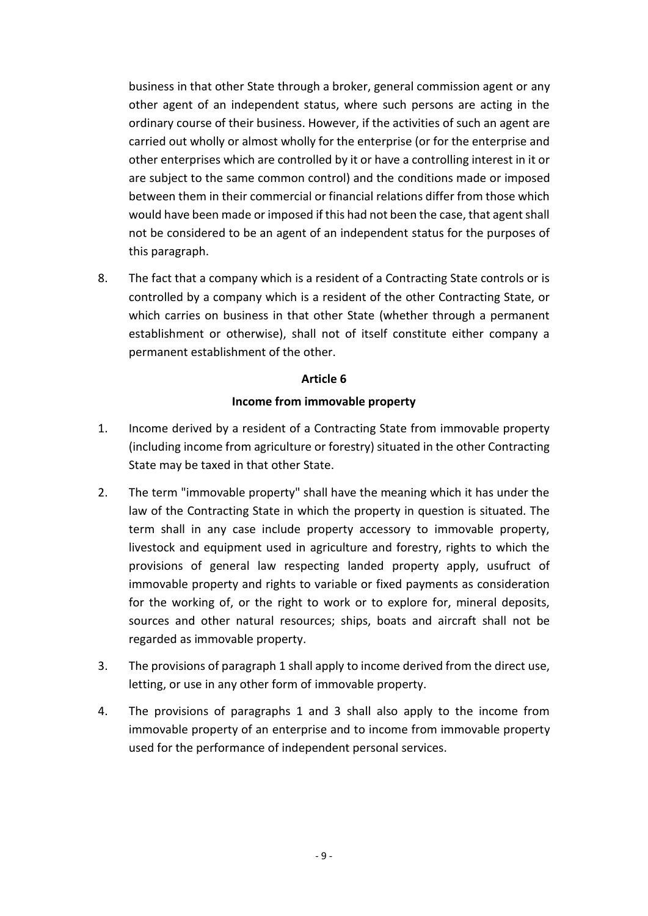business in that other State through a broker, general commission agent or any other agent of an independent status, where such persons are acting in the ordinary course of their business. However, if the activities of such an agent are carried out wholly or almost wholly for the enterprise (or for the enterprise and other enterprises which are controlled by it or have a controlling interest in it or are subject to the same common control) and the conditions made or imposed between them in their commercial or financial relations differ from those which would have been made or imposed if this had not been the case, that agent shall not be considered to be an agent of an independent status for the purposes of this paragraph.

8. The fact that a company which is a resident of a Contracting State controls or is controlled by a company which is a resident of the other Contracting State, or which carries on business in that other State (whether through a permanent establishment or otherwise), shall not of itself constitute either company a permanent establishment of the other.

#### **Article 6**

#### **Income from immovable property**

- 1. Income derived by a resident of a Contracting State from immovable property (including income from agriculture or forestry) situated in the other Contracting State may be taxed in that other State.
- 2. The term "immovable property" shall have the meaning which it has under the law of the Contracting State in which the property in question is situated. The term shall in any case include property accessory to immovable property, livestock and equipment used in agriculture and forestry, rights to which the provisions of general law respecting landed property apply, usufruct of immovable property and rights to variable or fixed payments as consideration for the working of, or the right to work or to explore for, mineral deposits, sources and other natural resources; ships, boats and aircraft shall not be regarded as immovable property.
- 3. The provisions of paragraph 1 shall apply to income derived from the direct use, letting, or use in any other form of immovable property.
- 4. The provisions of paragraphs 1 and 3 shall also apply to the income from immovable property of an enterprise and to income from immovable property used for the performance of independent personal services.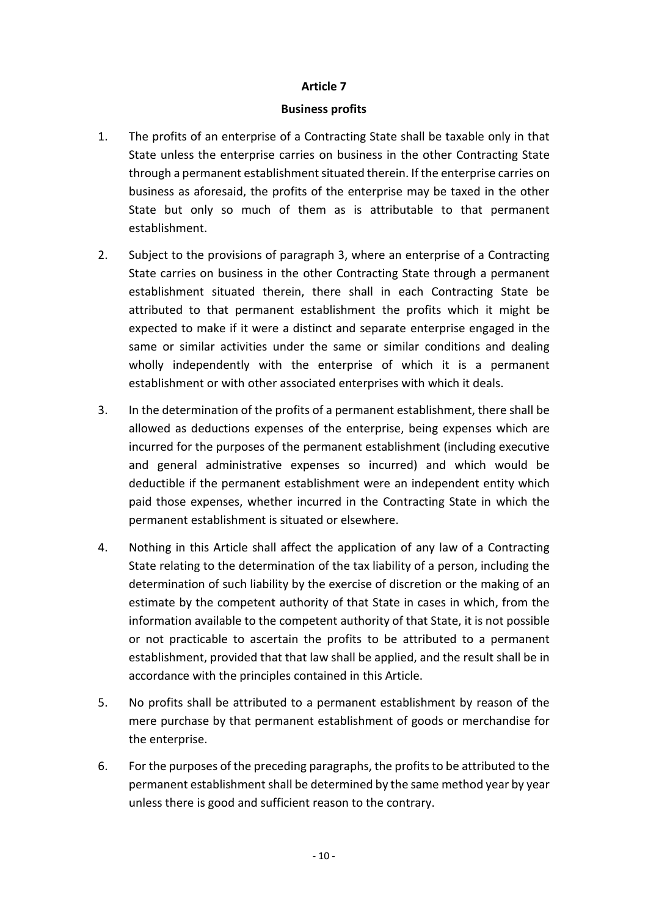#### **Business profits**

- 1. The profits of an enterprise of a Contracting State shall be taxable only in that State unless the enterprise carries on business in the other Contracting State through a permanent establishment situated therein. If the enterprise carries on business as aforesaid, the profits of the enterprise may be taxed in the other State but only so much of them as is attributable to that permanent establishment.
- 2. Subject to the provisions of paragraph 3, where an enterprise of a Contracting State carries on business in the other Contracting State through a permanent establishment situated therein, there shall in each Contracting State be attributed to that permanent establishment the profits which it might be expected to make if it were a distinct and separate enterprise engaged in the same or similar activities under the same or similar conditions and dealing wholly independently with the enterprise of which it is a permanent establishment or with other associated enterprises with which it deals.
- 3. In the determination of the profits of a permanent establishment, there shall be allowed as deductions expenses of the enterprise, being expenses which are incurred for the purposes of the permanent establishment (including executive and general administrative expenses so incurred) and which would be deductible if the permanent establishment were an independent entity which paid those expenses, whether incurred in the Contracting State in which the permanent establishment is situated or elsewhere.
- 4. Nothing in this Article shall affect the application of any law of a Contracting State relating to the determination of the tax liability of a person, including the determination of such liability by the exercise of discretion or the making of an estimate by the competent authority of that State in cases in which, from the information available to the competent authority of that State, it is not possible or not practicable to ascertain the profits to be attributed to a permanent establishment, provided that that law shall be applied, and the result shall be in accordance with the principles contained in this Article.
- 5. No profits shall be attributed to a permanent establishment by reason of the mere purchase by that permanent establishment of goods or merchandise for the enterprise.
- 6. For the purposes of the preceding paragraphs, the profits to be attributed to the permanent establishment shall be determined by the same method year by year unless there is good and sufficient reason to the contrary.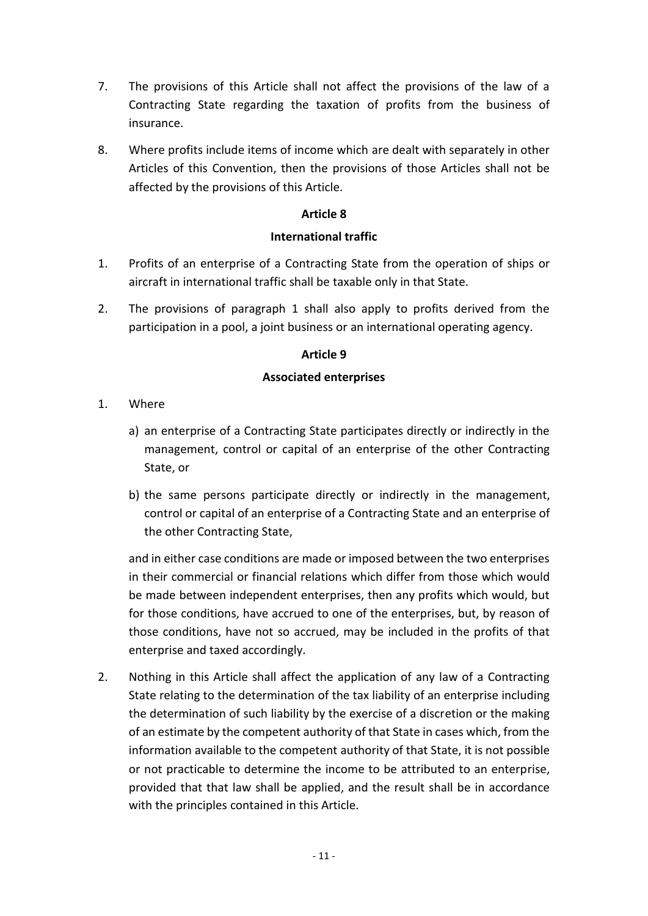- 7. The provisions of this Article shall not affect the provisions of the law of a Contracting State regarding the taxation of profits from the business of insurance.
- 8. Where profits include items of income which are dealt with separately in other Articles of this Convention, then the provisions of those Articles shall not be affected by the provisions of this Article.

#### **International traffic**

- 1. Profits of an enterprise of a Contracting State from the operation of ships or aircraft in international traffic shall be taxable only in that State.
- 2. The provisions of paragraph 1 shall also apply to profits derived from the participation in a pool, a joint business or an international operating agency.

#### **Article 9**

#### **Associated enterprises**

- 1. Where
	- a) an enterprise of a Contracting State participates directly or indirectly in the management, control or capital of an enterprise of the other Contracting State, or
	- b) the same persons participate directly or indirectly in the management, control or capital of an enterprise of a Contracting State and an enterprise of the other Contracting State,

and in either case conditions are made or imposed between the two enterprises in their commercial or financial relations which differ from those which would be made between independent enterprises, then any profits which would, but for those conditions, have accrued to one of the enterprises, but, by reason of those conditions, have not so accrued, may be included in the profits of that enterprise and taxed accordingly.

2. Nothing in this Article shall affect the application of any law of a Contracting State relating to the determination of the tax liability of an enterprise including the determination of such liability by the exercise of a discretion or the making of an estimate by the competent authority of that State in cases which, from the information available to the competent authority of that State, it is not possible or not practicable to determine the income to be attributed to an enterprise, provided that that law shall be applied, and the result shall be in accordance with the principles contained in this Article.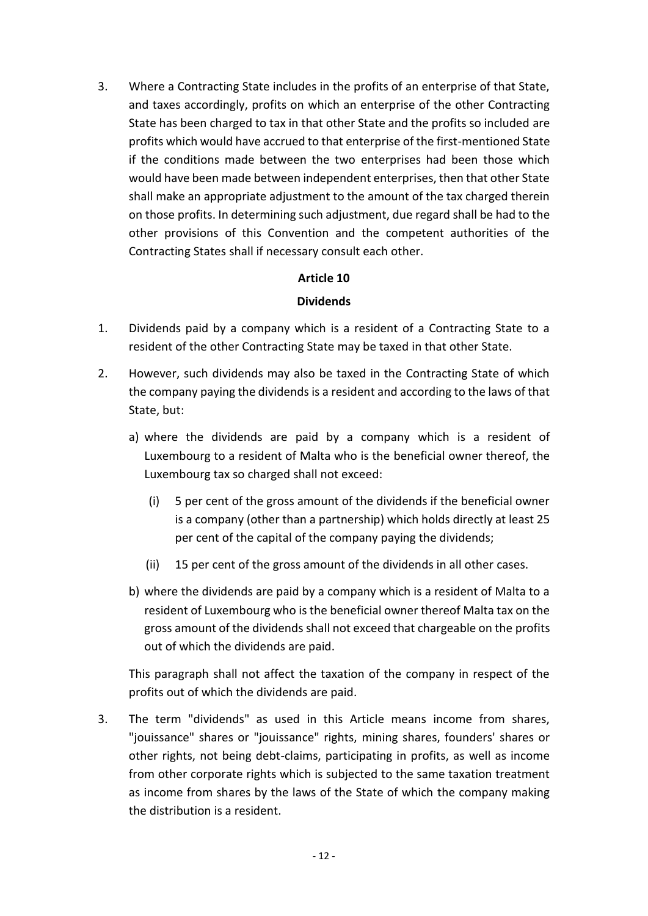3. Where a Contracting State includes in the profits of an enterprise of that State, and taxes accordingly, profits on which an enterprise of the other Contracting State has been charged to tax in that other State and the profits so included are profits which would have accrued to that enterprise of the first-mentioned State if the conditions made between the two enterprises had been those which would have been made between independent enterprises, then that other State shall make an appropriate adjustment to the amount of the tax charged therein on those profits. In determining such adjustment, due regard shall be had to the other provisions of this Convention and the competent authorities of the Contracting States shall if necessary consult each other.

# **Article 10**

#### **Dividends**

- 1. Dividends paid by a company which is a resident of a Contracting State to a resident of the other Contracting State may be taxed in that other State.
- 2. However, such dividends may also be taxed in the Contracting State of which the company paying the dividends is a resident and according to the laws of that State, but:
	- a) where the dividends are paid by a company which is a resident of Luxembourg to a resident of Malta who is the beneficial owner thereof, the Luxembourg tax so charged shall not exceed:
		- (i) 5 per cent of the gross amount of the dividends if the beneficial owner is a company (other than a partnership) which holds directly at least 25 per cent of the capital of the company paying the dividends;
		- (ii) 15 per cent of the gross amount of the dividends in all other cases.
	- b) where the dividends are paid by a company which is a resident of Malta to a resident of Luxembourg who is the beneficial owner thereof Malta tax on the gross amount of the dividends shall not exceed that chargeable on the profits out of which the dividends are paid.

This paragraph shall not affect the taxation of the company in respect of the profits out of which the dividends are paid.

3. The term "dividends" as used in this Article means income from shares, "jouissance" shares or "jouissance" rights, mining shares, founders' shares or other rights, not being debt-claims, participating in profits, as well as income from other corporate rights which is subjected to the same taxation treatment as income from shares by the laws of the State of which the company making the distribution is a resident.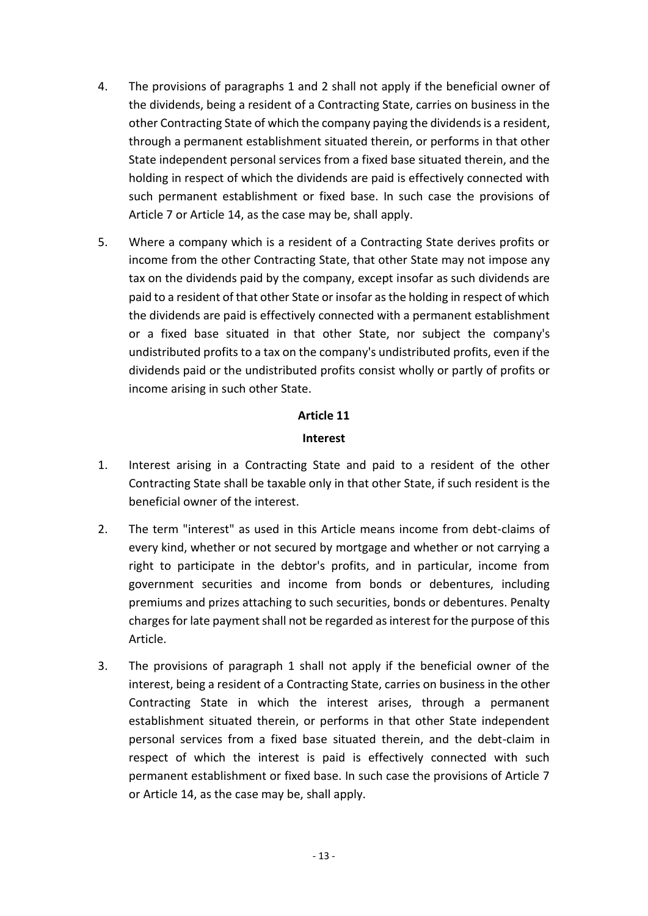- 4. The provisions of paragraphs 1 and 2 shall not apply if the beneficial owner of the dividends, being a resident of a Contracting State, carries on business in the other Contracting State of which the company paying the dividends is a resident, through a permanent establishment situated therein, or performs in that other State independent personal services from a fixed base situated therein, and the holding in respect of which the dividends are paid is effectively connected with such permanent establishment or fixed base. In such case the provisions of Article 7 or Article 14, as the case may be, shall apply.
- 5. Where a company which is a resident of a Contracting State derives profits or income from the other Contracting State, that other State may not impose any tax on the dividends paid by the company, except insofar as such dividends are paid to a resident of that other State or insofar as the holding in respect of which the dividends are paid is effectively connected with a permanent establishment or a fixed base situated in that other State, nor subject the company's undistributed profits to a tax on the company's undistributed profits, even if the dividends paid or the undistributed profits consist wholly or partly of profits or income arising in such other State.

#### **Interest**

- 1. Interest arising in a Contracting State and paid to a resident of the other Contracting State shall be taxable only in that other State, if such resident is the beneficial owner of the interest.
- 2. The term "interest" as used in this Article means income from debt-claims of every kind, whether or not secured by mortgage and whether or not carrying a right to participate in the debtor's profits, and in particular, income from government securities and income from bonds or debentures, including premiums and prizes attaching to such securities, bonds or debentures. Penalty charges for late payment shall not be regarded as interest for the purpose of this Article.
- 3. The provisions of paragraph 1 shall not apply if the beneficial owner of the interest, being a resident of a Contracting State, carries on business in the other Contracting State in which the interest arises, through a permanent establishment situated therein, or performs in that other State independent personal services from a fixed base situated therein, and the debt-claim in respect of which the interest is paid is effectively connected with such permanent establishment or fixed base. In such case the provisions of Article 7 or Article 14, as the case may be, shall apply.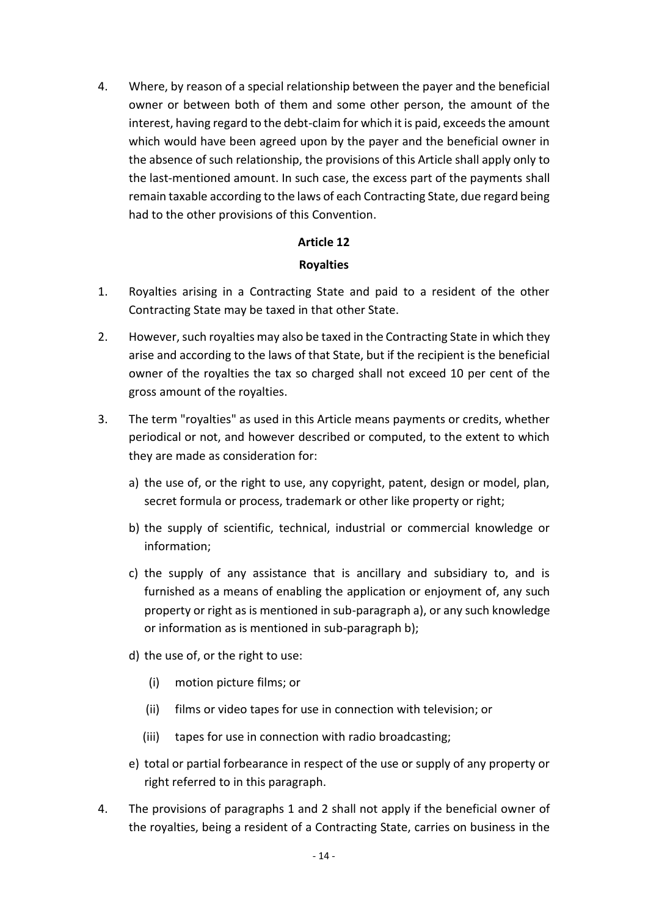4. Where, by reason of a special relationship between the payer and the beneficial owner or between both of them and some other person, the amount of the interest, having regard to the debt-claim for which it is paid, exceeds the amount which would have been agreed upon by the payer and the beneficial owner in the absence of such relationship, the provisions of this Article shall apply only to the last-mentioned amount. In such case, the excess part of the payments shall remain taxable according to the laws of each Contracting State, due regard being had to the other provisions of this Convention.

#### **Article 12**

#### **Royalties**

- 1. Royalties arising in a Contracting State and paid to a resident of the other Contracting State may be taxed in that other State.
- 2. However, such royalties may also be taxed in the Contracting State in which they arise and according to the laws of that State, but if the recipient is the beneficial owner of the royalties the tax so charged shall not exceed 10 per cent of the gross amount of the royalties.
- 3. The term "royalties" as used in this Article means payments or credits, whether periodical or not, and however described or computed, to the extent to which they are made as consideration for:
	- a) the use of, or the right to use, any copyright, patent, design or model, plan, secret formula or process, trademark or other like property or right;
	- b) the supply of scientific, technical, industrial or commercial knowledge or information;
	- c) the supply of any assistance that is ancillary and subsidiary to, and is furnished as a means of enabling the application or enjoyment of, any such property or right as is mentioned in sub-paragraph a), or any such knowledge or information as is mentioned in sub-paragraph b);
	- d) the use of, or the right to use:
		- (i) motion picture films; or
		- (ii) films or video tapes for use in connection with television; or
		- (iii) tapes for use in connection with radio broadcasting;
	- e) total or partial forbearance in respect of the use or supply of any property or right referred to in this paragraph.
- 4. The provisions of paragraphs 1 and 2 shall not apply if the beneficial owner of the royalties, being a resident of a Contracting State, carries on business in the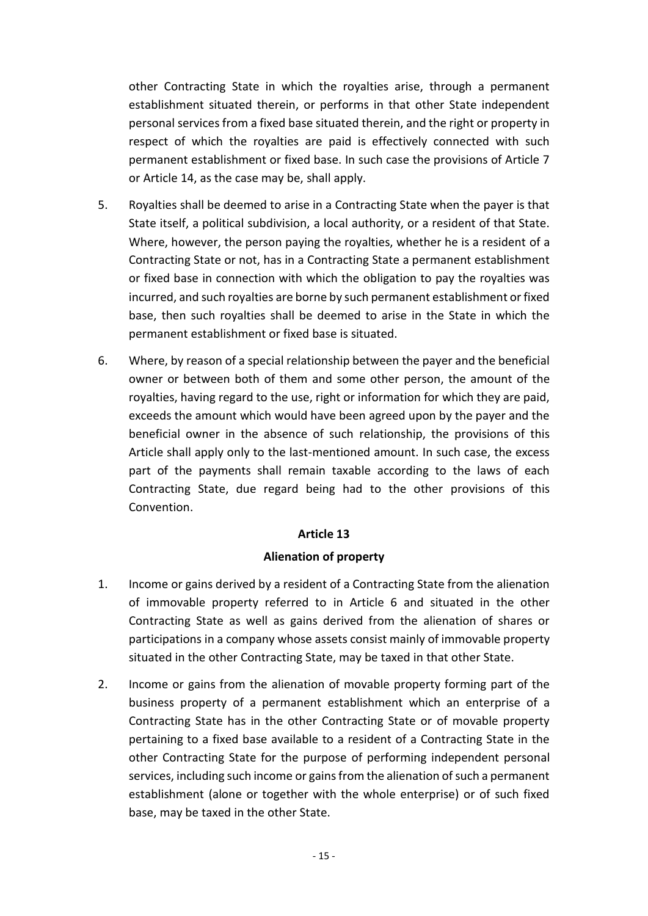other Contracting State in which the royalties arise, through a permanent establishment situated therein, or performs in that other State independent personal services from a fixed base situated therein, and the right or property in respect of which the royalties are paid is effectively connected with such permanent establishment or fixed base. In such case the provisions of Article 7 or Article 14, as the case may be, shall apply.

- 5. Royalties shall be deemed to arise in a Contracting State when the payer is that State itself, a political subdivision, a local authority, or a resident of that State. Where, however, the person paying the royalties, whether he is a resident of a Contracting State or not, has in a Contracting State a permanent establishment or fixed base in connection with which the obligation to pay the royalties was incurred, and such royalties are borne by such permanent establishment or fixed base, then such royalties shall be deemed to arise in the State in which the permanent establishment or fixed base is situated.
- 6. Where, by reason of a special relationship between the payer and the beneficial owner or between both of them and some other person, the amount of the royalties, having regard to the use, right or information for which they are paid, exceeds the amount which would have been agreed upon by the payer and the beneficial owner in the absence of such relationship, the provisions of this Article shall apply only to the last-mentioned amount. In such case, the excess part of the payments shall remain taxable according to the laws of each Contracting State, due regard being had to the other provisions of this Convention.

#### **Article 13**

#### **Alienation of property**

- 1. Income or gains derived by a resident of a Contracting State from the alienation of immovable property referred to in Article 6 and situated in the other Contracting State as well as gains derived from the alienation of shares or participations in a company whose assets consist mainly of immovable property situated in the other Contracting State, may be taxed in that other State.
- 2. Income or gains from the alienation of movable property forming part of the business property of a permanent establishment which an enterprise of a Contracting State has in the other Contracting State or of movable property pertaining to a fixed base available to a resident of a Contracting State in the other Contracting State for the purpose of performing independent personal services, including such income or gains from the alienation of such a permanent establishment (alone or together with the whole enterprise) or of such fixed base, may be taxed in the other State.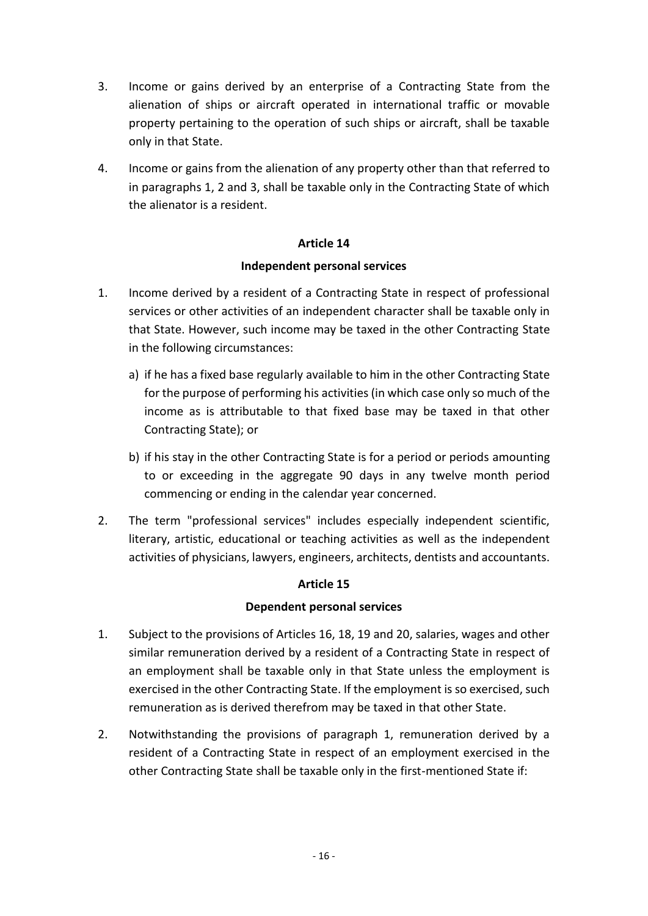- 3. Income or gains derived by an enterprise of a Contracting State from the alienation of ships or aircraft operated in international traffic or movable property pertaining to the operation of such ships or aircraft, shall be taxable only in that State.
- 4. Income or gains from the alienation of any property other than that referred to in paragraphs 1, 2 and 3, shall be taxable only in the Contracting State of which the alienator is a resident.

#### **Independent personal services**

- 1. Income derived by a resident of a Contracting State in respect of professional services or other activities of an independent character shall be taxable only in that State. However, such income may be taxed in the other Contracting State in the following circumstances:
	- a) if he has a fixed base regularly available to him in the other Contracting State for the purpose of performing his activities (in which case only so much of the income as is attributable to that fixed base may be taxed in that other Contracting State); or
	- b) if his stay in the other Contracting State is for a period or periods amounting to or exceeding in the aggregate 90 days in any twelve month period commencing or ending in the calendar year concerned.
- 2. The term "professional services" includes especially independent scientific, literary, artistic, educational or teaching activities as well as the independent activities of physicians, lawyers, engineers, architects, dentists and accountants.

#### **Article 15**

#### **Dependent personal services**

- 1. Subject to the provisions of Articles 16, 18, 19 and 20, salaries, wages and other similar remuneration derived by a resident of a Contracting State in respect of an employment shall be taxable only in that State unless the employment is exercised in the other Contracting State. If the employment is so exercised, such remuneration as is derived therefrom may be taxed in that other State.
- 2. Notwithstanding the provisions of paragraph 1, remuneration derived by a resident of a Contracting State in respect of an employment exercised in the other Contracting State shall be taxable only in the first-mentioned State if: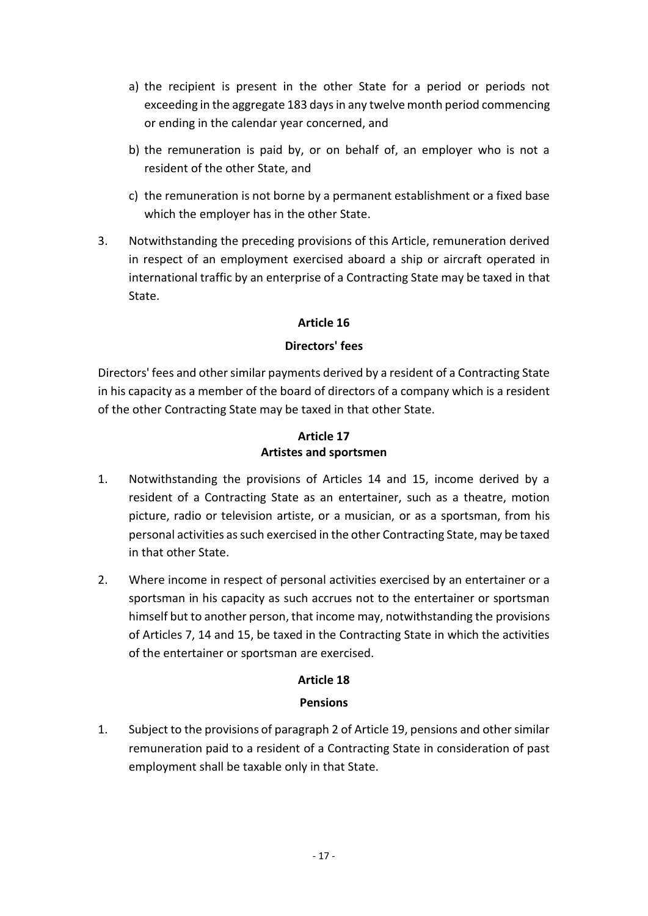- a) the recipient is present in the other State for a period or periods not exceeding in the aggregate 183 days in any twelve month period commencing or ending in the calendar year concerned, and
- b) the remuneration is paid by, or on behalf of, an employer who is not a resident of the other State, and
- c) the remuneration is not borne by a permanent establishment or a fixed base which the employer has in the other State.
- 3. Notwithstanding the preceding provisions of this Article, remuneration derived in respect of an employment exercised aboard a ship or aircraft operated in international traffic by an enterprise of a Contracting State may be taxed in that State.

#### **Directors' fees**

Directors' fees and other similar payments derived by a resident of a Contracting State in his capacity as a member of the board of directors of a company which is a resident of the other Contracting State may be taxed in that other State.

### **Article 17 Artistes and sportsmen**

- 1. Notwithstanding the provisions of Articles 14 and 15, income derived by a resident of a Contracting State as an entertainer, such as a theatre, motion picture, radio or television artiste, or a musician, or as a sportsman, from his personal activities as such exercised in the other Contracting State, may be taxed in that other State.
- 2. Where income in respect of personal activities exercised by an entertainer or a sportsman in his capacity as such accrues not to the entertainer or sportsman himself but to another person, that income may, notwithstanding the provisions of Articles 7, 14 and 15, be taxed in the Contracting State in which the activities of the entertainer or sportsman are exercised.

### **Article 18**

#### **Pensions**

1. Subject to the provisions of paragraph 2 of Article 19, pensions and other similar remuneration paid to a resident of a Contracting State in consideration of past employment shall be taxable only in that State.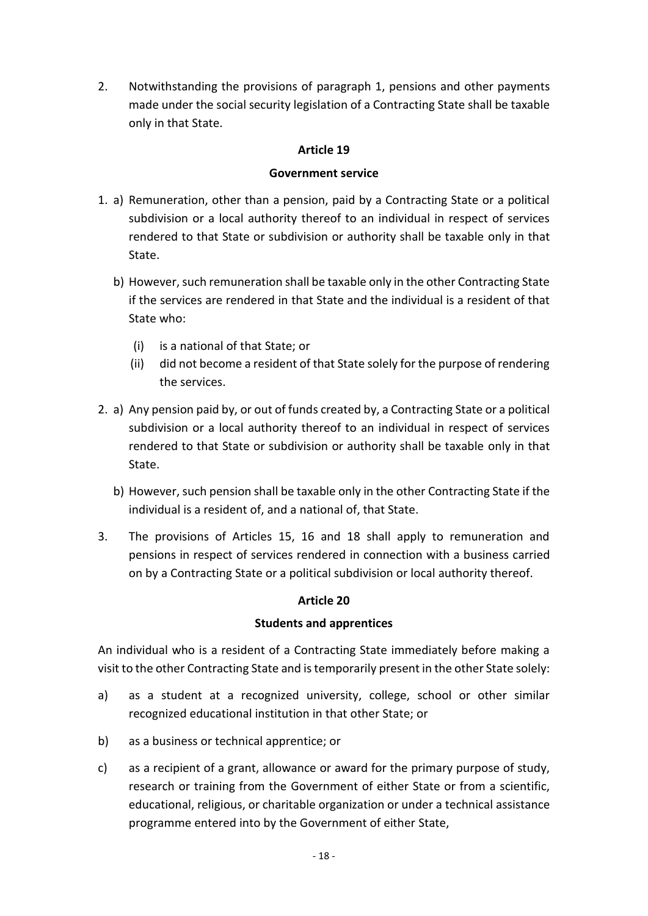2. Notwithstanding the provisions of paragraph 1, pensions and other payments made under the social security legislation of a Contracting State shall be taxable only in that State.

#### **Article 19**

#### **Government service**

- 1. a) Remuneration, other than a pension, paid by a Contracting State or a political subdivision or a local authority thereof to an individual in respect of services rendered to that State or subdivision or authority shall be taxable only in that State.
	- b) However, such remuneration shall be taxable only in the other Contracting State if the services are rendered in that State and the individual is a resident of that State who:
		- (i) is a national of that State; or
		- (ii) did not become a resident of that State solely for the purpose of rendering the services.
- 2. a) Any pension paid by, or out of funds created by, a Contracting State or a political subdivision or a local authority thereof to an individual in respect of services rendered to that State or subdivision or authority shall be taxable only in that State.
	- b) However, such pension shall be taxable only in the other Contracting State if the individual is a resident of, and a national of, that State.
- 3. The provisions of Articles 15, 16 and 18 shall apply to remuneration and pensions in respect of services rendered in connection with a business carried on by a Contracting State or a political subdivision or local authority thereof.

#### **Article 20**

#### **Students and apprentices**

An individual who is a resident of a Contracting State immediately before making a visit to the other Contracting State and istemporarily present in the other State solely:

- a) as a student at a recognized university, college, school or other similar recognized educational institution in that other State; or
- b) as a business or technical apprentice; or
- c) as a recipient of a grant, allowance or award for the primary purpose of study, research or training from the Government of either State or from a scientific, educational, religious, or charitable organization or under a technical assistance programme entered into by the Government of either State,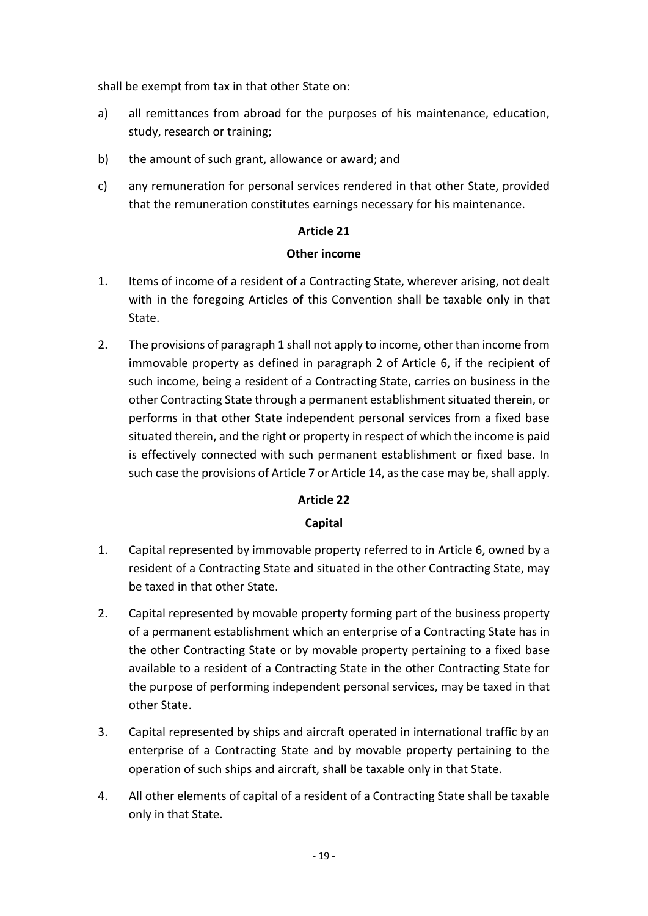shall be exempt from tax in that other State on:

- a) all remittances from abroad for the purposes of his maintenance, education, study, research or training;
- b) the amount of such grant, allowance or award; and
- c) any remuneration for personal services rendered in that other State, provided that the remuneration constitutes earnings necessary for his maintenance.

#### **Article 21**

#### **Other income**

- 1. Items of income of a resident of a Contracting State, wherever arising, not dealt with in the foregoing Articles of this Convention shall be taxable only in that State.
- 2. The provisions of paragraph 1 shall not apply to income, other than income from immovable property as defined in paragraph 2 of Article 6, if the recipient of such income, being a resident of a Contracting State, carries on business in the other Contracting State through a permanent establishment situated therein, or performs in that other State independent personal services from a fixed base situated therein, and the right or property in respect of which the income is paid is effectively connected with such permanent establishment or fixed base. In such case the provisions of Article 7 or Article 14, as the case may be, shall apply.

#### **Article 22**

#### **Capital**

- 1. Capital represented by immovable property referred to in Article 6, owned by a resident of a Contracting State and situated in the other Contracting State, may be taxed in that other State.
- 2. Capital represented by movable property forming part of the business property of a permanent establishment which an enterprise of a Contracting State has in the other Contracting State or by movable property pertaining to a fixed base available to a resident of a Contracting State in the other Contracting State for the purpose of performing independent personal services, may be taxed in that other State.
- 3. Capital represented by ships and aircraft operated in international traffic by an enterprise of a Contracting State and by movable property pertaining to the operation of such ships and aircraft, shall be taxable only in that State.
- 4. All other elements of capital of a resident of a Contracting State shall be taxable only in that State.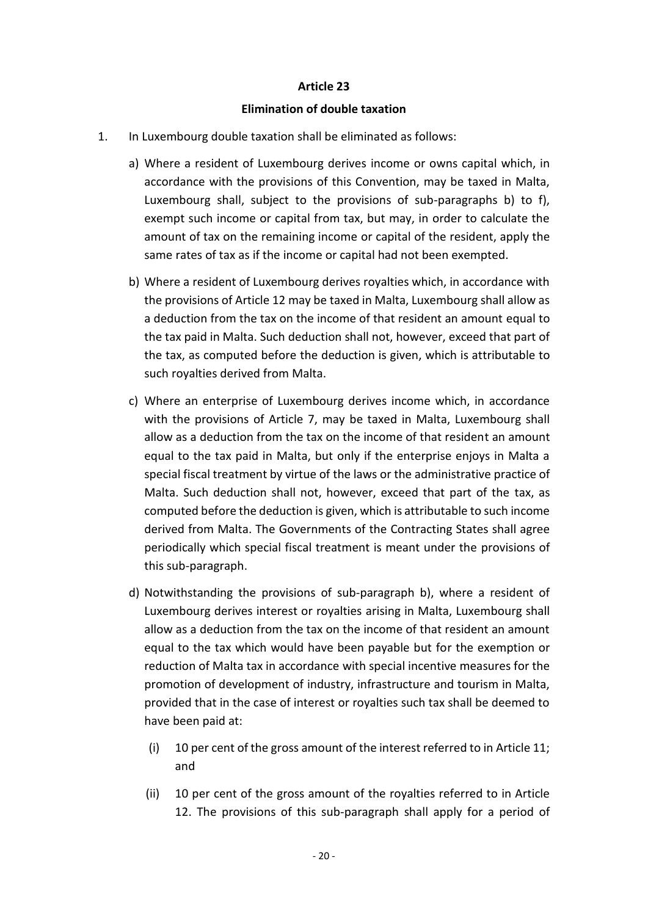#### **Elimination of double taxation**

- 1. In Luxembourg double taxation shall be eliminated as follows:
	- a) Where a resident of Luxembourg derives income or owns capital which, in accordance with the provisions of this Convention, may be taxed in Malta, Luxembourg shall, subject to the provisions of sub-paragraphs b) to f), exempt such income or capital from tax, but may, in order to calculate the amount of tax on the remaining income or capital of the resident, apply the same rates of tax as if the income or capital had not been exempted.
	- b) Where a resident of Luxembourg derives royalties which, in accordance with the provisions of Article 12 may be taxed in Malta, Luxembourg shall allow as a deduction from the tax on the income of that resident an amount equal to the tax paid in Malta. Such deduction shall not, however, exceed that part of the tax, as computed before the deduction is given, which is attributable to such royalties derived from Malta.
	- c) Where an enterprise of Luxembourg derives income which, in accordance with the provisions of Article 7, may be taxed in Malta, Luxembourg shall allow as a deduction from the tax on the income of that resident an amount equal to the tax paid in Malta, but only if the enterprise enjoys in Malta a special fiscal treatment by virtue of the laws or the administrative practice of Malta. Such deduction shall not, however, exceed that part of the tax, as computed before the deduction is given, which is attributable to such income derived from Malta. The Governments of the Contracting States shall agree periodically which special fiscal treatment is meant under the provisions of this sub-paragraph.
	- d) Notwithstanding the provisions of sub-paragraph b), where a resident of Luxembourg derives interest or royalties arising in Malta, Luxembourg shall allow as a deduction from the tax on the income of that resident an amount equal to the tax which would have been payable but for the exemption or reduction of Malta tax in accordance with special incentive measures for the promotion of development of industry, infrastructure and tourism in Malta, provided that in the case of interest or royalties such tax shall be deemed to have been paid at:
		- (i) 10 per cent of the gross amount of the interest referred to in Article 11; and
		- (ii) 10 per cent of the gross amount of the royalties referred to in Article 12. The provisions of this sub-paragraph shall apply for a period of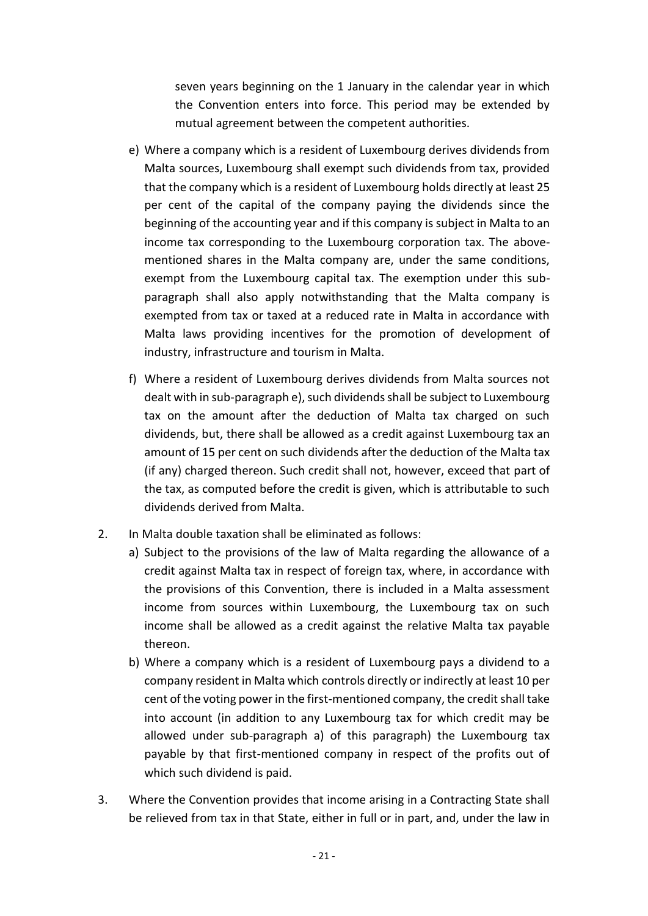seven years beginning on the 1 January in the calendar year in which the Convention enters into force. This period may be extended by mutual agreement between the competent authorities.

- e) Where a company which is a resident of Luxembourg derives dividends from Malta sources, Luxembourg shall exempt such dividends from tax, provided that the company which is a resident of Luxembourg holds directly at least 25 per cent of the capital of the company paying the dividends since the beginning of the accounting year and if this company is subject in Malta to an income tax corresponding to the Luxembourg corporation tax. The abovementioned shares in the Malta company are, under the same conditions, exempt from the Luxembourg capital tax. The exemption under this subparagraph shall also apply notwithstanding that the Malta company is exempted from tax or taxed at a reduced rate in Malta in accordance with Malta laws providing incentives for the promotion of development of industry, infrastructure and tourism in Malta.
- f) Where a resident of Luxembourg derives dividends from Malta sources not dealt with in sub-paragraph e), such dividends shall be subject to Luxembourg tax on the amount after the deduction of Malta tax charged on such dividends, but, there shall be allowed as a credit against Luxembourg tax an amount of 15 per cent on such dividends after the deduction of the Malta tax (if any) charged thereon. Such credit shall not, however, exceed that part of the tax, as computed before the credit is given, which is attributable to such dividends derived from Malta.
- 2. In Malta double taxation shall be eliminated as follows:
	- a) Subject to the provisions of the law of Malta regarding the allowance of a credit against Malta tax in respect of foreign tax, where, in accordance with the provisions of this Convention, there is included in a Malta assessment income from sources within Luxembourg, the Luxembourg tax on such income shall be allowed as a credit against the relative Malta tax payable thereon.
	- b) Where a company which is a resident of Luxembourg pays a dividend to a company resident in Malta which controls directly or indirectly at least 10 per cent of the voting power in the first-mentioned company, the credit shall take into account (in addition to any Luxembourg tax for which credit may be allowed under sub-paragraph a) of this paragraph) the Luxembourg tax payable by that first-mentioned company in respect of the profits out of which such dividend is paid.
- 3. Where the Convention provides that income arising in a Contracting State shall be relieved from tax in that State, either in full or in part, and, under the law in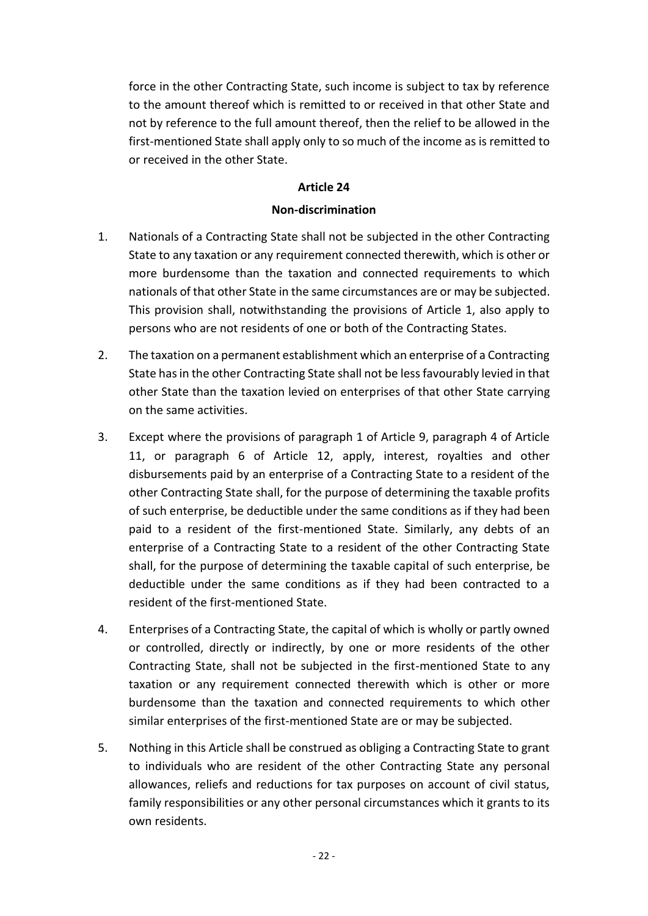force in the other Contracting State, such income is subject to tax by reference to the amount thereof which is remitted to or received in that other State and not by reference to the full amount thereof, then the relief to be allowed in the first-mentioned State shall apply only to so much of the income as is remitted to or received in the other State.

#### **Article 24**

#### **Non-discrimination**

- 1. Nationals of a Contracting State shall not be subjected in the other Contracting State to any taxation or any requirement connected therewith, which is other or more burdensome than the taxation and connected requirements to which nationals of that other State in the same circumstances are or may be subjected. This provision shall, notwithstanding the provisions of Article 1, also apply to persons who are not residents of one or both of the Contracting States.
- 2. The taxation on a permanent establishment which an enterprise of a Contracting State has in the other Contracting State shall not be less favourably levied in that other State than the taxation levied on enterprises of that other State carrying on the same activities.
- 3. Except where the provisions of paragraph 1 of Article 9, paragraph 4 of Article 11, or paragraph 6 of Article 12, apply, interest, royalties and other disbursements paid by an enterprise of a Contracting State to a resident of the other Contracting State shall, for the purpose of determining the taxable profits of such enterprise, be deductible under the same conditions as if they had been paid to a resident of the first-mentioned State. Similarly, any debts of an enterprise of a Contracting State to a resident of the other Contracting State shall, for the purpose of determining the taxable capital of such enterprise, be deductible under the same conditions as if they had been contracted to a resident of the first-mentioned State.
- 4. Enterprises of a Contracting State, the capital of which is wholly or partly owned or controlled, directly or indirectly, by one or more residents of the other Contracting State, shall not be subjected in the first-mentioned State to any taxation or any requirement connected therewith which is other or more burdensome than the taxation and connected requirements to which other similar enterprises of the first-mentioned State are or may be subjected.
- 5. Nothing in this Article shall be construed as obliging a Contracting State to grant to individuals who are resident of the other Contracting State any personal allowances, reliefs and reductions for tax purposes on account of civil status, family responsibilities or any other personal circumstances which it grants to its own residents.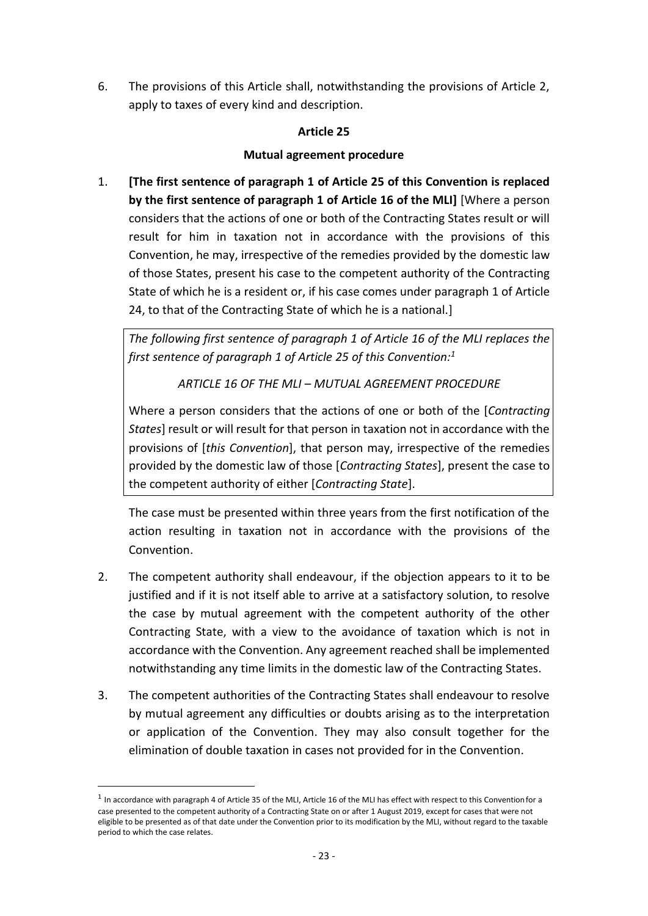6. The provisions of this Article shall, notwithstanding the provisions of Article 2, apply to taxes of every kind and description.

#### **Article 25**

#### **Mutual agreement procedure**

1. **[The first sentence of paragraph 1 of Article 25 of this Convention is replaced by the first sentence of paragraph 1 of Article 16 of the MLI]** [Where a person considers that the actions of one or both of the Contracting States result or will result for him in taxation not in accordance with the provisions of this Convention, he may, irrespective of the remedies provided by the domestic law of those States, present his case to the competent authority of the Contracting State of which he is a resident or, if his case comes under paragraph 1 of Article 24, to that of the Contracting State of which he is a national.]

*The following first sentence of paragraph 1 of Article 16 of the MLI replaces the first sentence of paragraph 1 of Article 25 of this Convention:<sup>1</sup>*

*ARTICLE 16 OF THE MLI – MUTUAL AGREEMENT PROCEDURE*

Where a person considers that the actions of one or both of the [*Contracting States*] result or will result for that person in taxation not in accordance with the provisions of [*this Convention*], that person may, irrespective of the remedies provided by the domestic law of those [*Contracting States*], present the case to the competent authority of either [*Contracting State*].

The case must be presented within three years from the first notification of the action resulting in taxation not in accordance with the provisions of the Convention.

- 2. The competent authority shall endeavour, if the objection appears to it to be justified and if it is not itself able to arrive at a satisfactory solution, to resolve the case by mutual agreement with the competent authority of the other Contracting State, with a view to the avoidance of taxation which is not in accordance with the Convention. Any agreement reached shall be implemented notwithstanding any time limits in the domestic law of the Contracting States.
- 3. The competent authorities of the Contracting States shall endeavour to resolve by mutual agreement any difficulties or doubts arising as to the interpretation or application of the Convention. They may also consult together for the elimination of double taxation in cases not provided for in the Convention.

1

 $^1$  In accordance with paragraph 4 of Article 35 of the MLI, Article 16 of the MLI has effect with respect to this Convention for a case presented to the competent authority of a Contracting State on or after 1 August 2019, except for cases that were not eligible to be presented as of that date under the Convention prior to its modification by the MLI, without regard to the taxable period to which the case relates.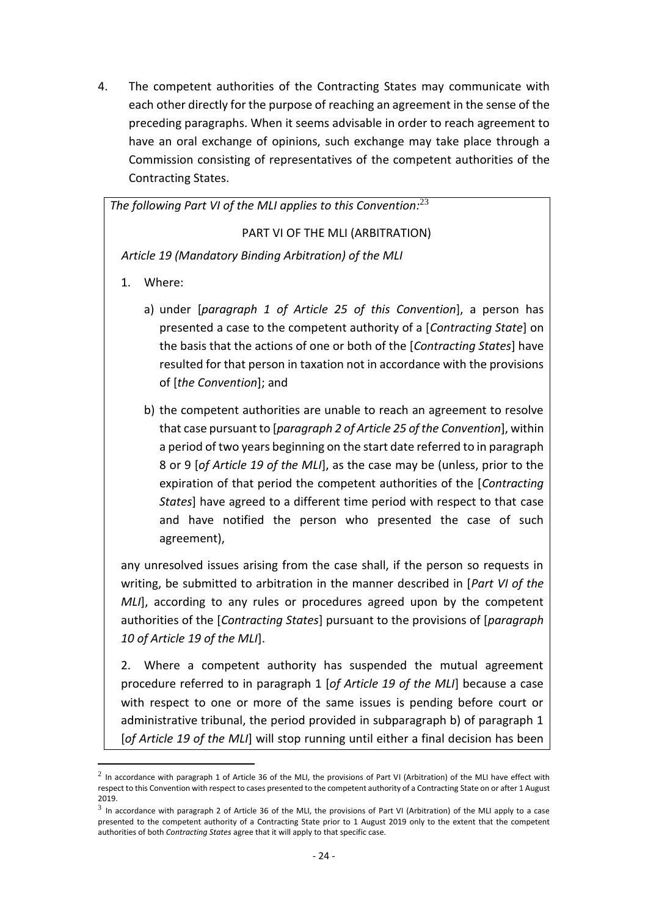4. The competent authorities of the Contracting States may communicate with each other directly for the purpose of reaching an agreement in the sense of the preceding paragraphs. When it seems advisable in order to reach agreement to have an oral exchange of opinions, such exchange may take place through a Commission consisting of representatives of the competent authorities of the Contracting States.

*The following Part VI of the MLI applies to this Convention:* 23

#### PART VI OF THE MLI (ARBITRATION)

*Article 19 (Mandatory Binding Arbitration) of the MLI*

1. Where:

1

- a) under [*paragraph 1 of Article 25 of this Convention*], a person has presented a case to the competent authority of a [*Contracting State*] on the basis that the actions of one or both of the [*Contracting States*] have resulted for that person in taxation not in accordance with the provisions of [*the Convention*]; and
- b) the competent authorities are unable to reach an agreement to resolve that case pursuant to [*paragraph 2 of Article 25 of the Convention*], within a period of two years beginning on the start date referred to in paragraph 8 or 9 [*of Article 19 of the MLI*], as the case may be (unless, prior to the expiration of that period the competent authorities of the [*Contracting States*] have agreed to a different time period with respect to that case and have notified the person who presented the case of such agreement),

any unresolved issues arising from the case shall, if the person so requests in writing, be submitted to arbitration in the manner described in [*Part VI of the MLI*], according to any rules or procedures agreed upon by the competent authorities of the [*Contracting States*] pursuant to the provisions of [*paragraph 10 of Article 19 of the MLI*].

2. Where a competent authority has suspended the mutual agreement procedure referred to in paragraph 1 [*of Article 19 of the MLI*] because a case with respect to one or more of the same issues is pending before court or administrative tribunal, the period provided in subparagraph b) of paragraph 1 [*of Article 19 of the MLI*] will stop running until either a final decision has been

 $^2$  In accordance with paragraph 1 of Article 36 of the MLI, the provisions of Part VI (Arbitration) of the MLI have effect with respect to this Convention with respect to cases presented to the competent authority of a Contracting State on or after 1 August 2019.

 $3$  In accordance with paragraph 2 of Article 36 of the MLI, the provisions of Part VI (Arbitration) of the MLI apply to a case presented to the competent authority of a Contracting State prior to 1 August 2019 only to the extent that the competent authorities of both *Contracting States* agree that it will apply to that specific case.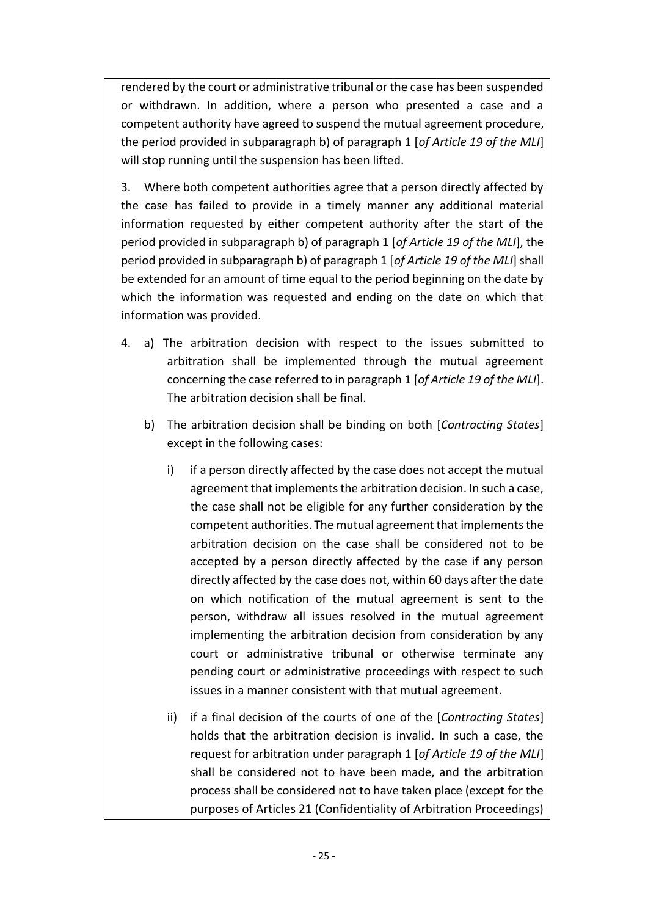rendered by the court or administrative tribunal or the case has been suspended or withdrawn. In addition, where a person who presented a case and a competent authority have agreed to suspend the mutual agreement procedure, the period provided in subparagraph b) of paragraph 1 [*of Article 19 of the MLI*] will stop running until the suspension has been lifted.

3. Where both competent authorities agree that a person directly affected by the case has failed to provide in a timely manner any additional material information requested by either competent authority after the start of the period provided in subparagraph b) of paragraph 1 [*of Article 19 of the MLI*], the period provided in subparagraph b) of paragraph 1 [*of Article 19 of the MLI*] shall be extended for an amount of time equal to the period beginning on the date by which the information was requested and ending on the date on which that information was provided.

- 4. a) The arbitration decision with respect to the issues submitted to arbitration shall be implemented through the mutual agreement concerning the case referred to in paragraph 1 [*of Article 19 of the MLI*]. The arbitration decision shall be final.
	- b) The arbitration decision shall be binding on both [*Contracting States*] except in the following cases:
		- i) if a person directly affected by the case does not accept the mutual agreement that implements the arbitration decision. In such a case, the case shall not be eligible for any further consideration by the competent authorities. The mutual agreement that implements the arbitration decision on the case shall be considered not to be accepted by a person directly affected by the case if any person directly affected by the case does not, within 60 days after the date on which notification of the mutual agreement is sent to the person, withdraw all issues resolved in the mutual agreement implementing the arbitration decision from consideration by any court or administrative tribunal or otherwise terminate any pending court or administrative proceedings with respect to such issues in a manner consistent with that mutual agreement.
		- ii) if a final decision of the courts of one of the [*Contracting States*] holds that the arbitration decision is invalid. In such a case, the request for arbitration under paragraph 1 [*of Article 19 of the MLI*] shall be considered not to have been made, and the arbitration process shall be considered not to have taken place (except for the purposes of Articles 21 (Confidentiality of Arbitration Proceedings)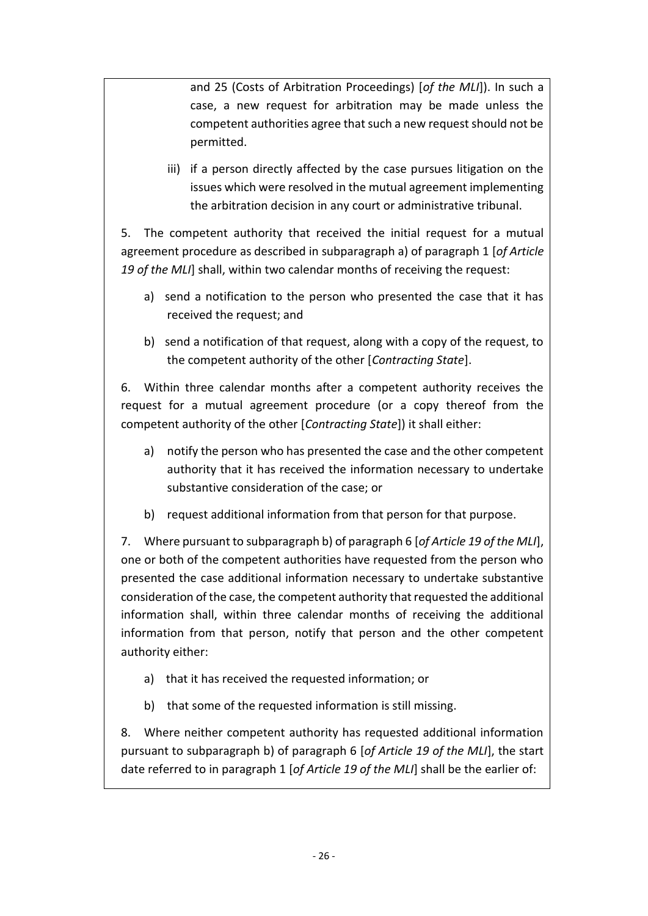and 25 (Costs of Arbitration Proceedings) [*of the MLI*]). In such a case, a new request for arbitration may be made unless the competent authorities agree that such a new request should not be permitted.

iii) if a person directly affected by the case pursues litigation on the issues which were resolved in the mutual agreement implementing the arbitration decision in any court or administrative tribunal.

5. The competent authority that received the initial request for a mutual agreement procedure as described in subparagraph a) of paragraph 1 [*of Article 19 of the MLI*] shall, within two calendar months of receiving the request:

- a) send a notification to the person who presented the case that it has received the request; and
- b) send a notification of that request, along with a copy of the request, to the competent authority of the other [*Contracting State*].

6. Within three calendar months after a competent authority receives the request for a mutual agreement procedure (or a copy thereof from the competent authority of the other [*Contracting State*]) it shall either:

- a) notify the person who has presented the case and the other competent authority that it has received the information necessary to undertake substantive consideration of the case; or
- b) request additional information from that person for that purpose.

7. Where pursuant to subparagraph b) of paragraph 6 [*of Article 19 of the MLI*], one or both of the competent authorities have requested from the person who presented the case additional information necessary to undertake substantive consideration of the case, the competent authority that requested the additional information shall, within three calendar months of receiving the additional information from that person, notify that person and the other competent authority either:

- a) that it has received the requested information; or
- b) that some of the requested information is still missing.

8. Where neither competent authority has requested additional information pursuant to subparagraph b) of paragraph 6 [*of Article 19 of the MLI*], the start date referred to in paragraph 1 [*of Article 19 of the MLI*] shall be the earlier of: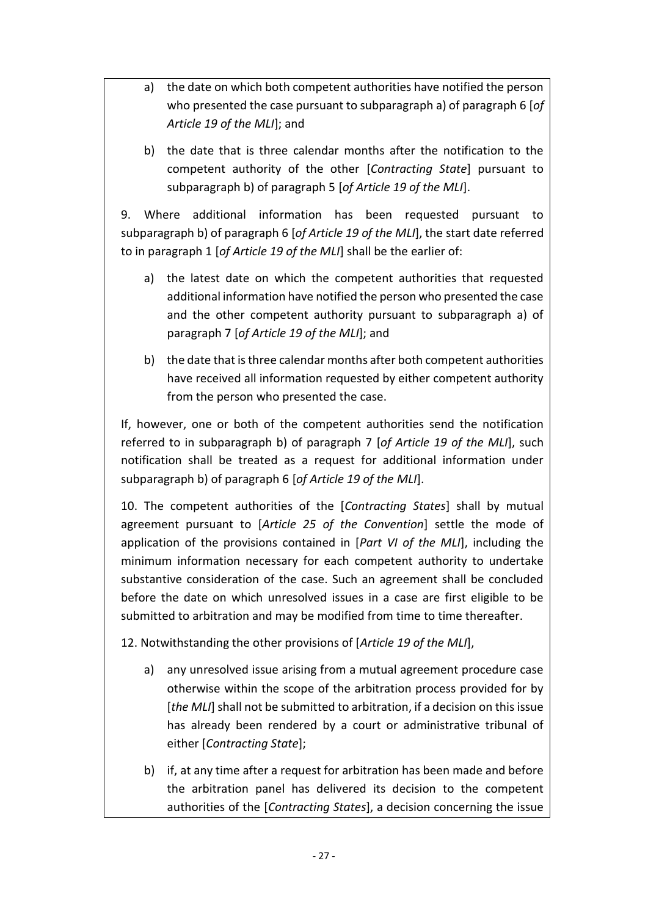- a) the date on which both competent authorities have notified the person who presented the case pursuant to subparagraph a) of paragraph 6 [*of Article 19 of the MLI*]; and
- b) the date that is three calendar months after the notification to the competent authority of the other [*Contracting State*] pursuant to subparagraph b) of paragraph 5 [*of Article 19 of the MLI*].

9. Where additional information has been requested pursuant to subparagraph b) of paragraph 6 [*of Article 19 of the MLI*], the start date referred to in paragraph 1 [*of Article 19 of the MLI*] shall be the earlier of:

- a) the latest date on which the competent authorities that requested additional information have notified the person who presented the case and the other competent authority pursuant to subparagraph a) of paragraph 7 [*of Article 19 of the MLI*]; and
- b) the date that is three calendar months after both competent authorities have received all information requested by either competent authority from the person who presented the case.

If, however, one or both of the competent authorities send the notification referred to in subparagraph b) of paragraph 7 [*of Article 19 of the MLI*], such notification shall be treated as a request for additional information under subparagraph b) of paragraph 6 [*of Article 19 of the MLI*].

10. The competent authorities of the [*Contracting States*] shall by mutual agreement pursuant to [*Article 25 of the Convention*] settle the mode of application of the provisions contained in [*Part VI of the MLI*], including the minimum information necessary for each competent authority to undertake substantive consideration of the case. Such an agreement shall be concluded before the date on which unresolved issues in a case are first eligible to be submitted to arbitration and may be modified from time to time thereafter.

12. Notwithstanding the other provisions of [*Article 19 of the MLI*],

- a) any unresolved issue arising from a mutual agreement procedure case otherwise within the scope of the arbitration process provided for by [*the MLI*] shall not be submitted to arbitration, if a decision on this issue has already been rendered by a court or administrative tribunal of either [*Contracting State*];
- b) if, at any time after a request for arbitration has been made and before the arbitration panel has delivered its decision to the competent authorities of the [*Contracting States*], a decision concerning the issue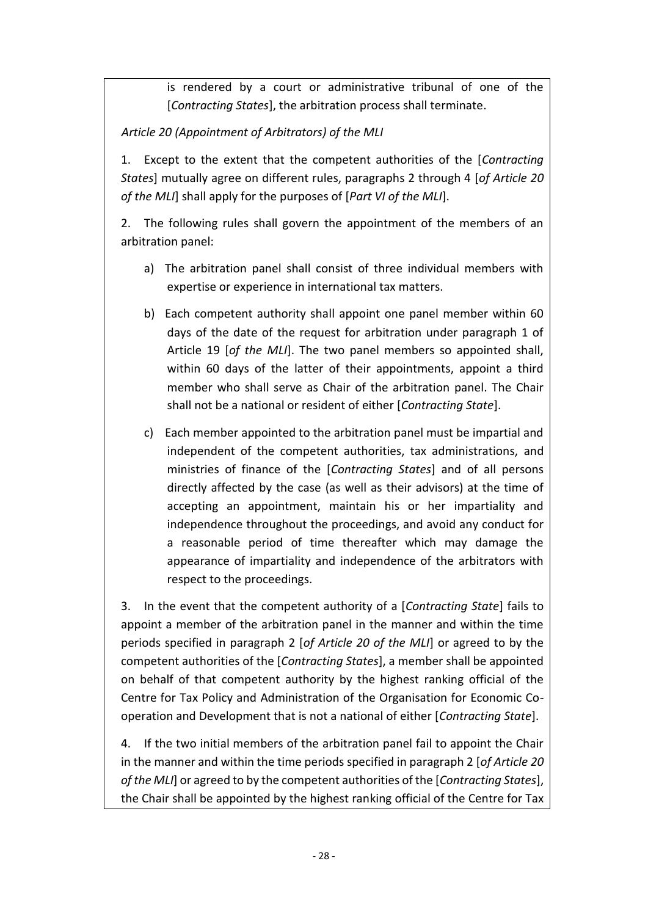is rendered by a court or administrative tribunal of one of the [*Contracting States*], the arbitration process shall terminate.

# *Article 20 (Appointment of Arbitrators) of the MLI*

1. Except to the extent that the competent authorities of the [*Contracting States*] mutually agree on different rules, paragraphs 2 through 4 [*of Article 20 of the MLI*] shall apply for the purposes of [*Part VI of the MLI*].

2. The following rules shall govern the appointment of the members of an arbitration panel:

- a) The arbitration panel shall consist of three individual members with expertise or experience in international tax matters.
- b) Each competent authority shall appoint one panel member within 60 days of the date of the request for arbitration under paragraph 1 of Article 19 [*of the MLI*]. The two panel members so appointed shall, within 60 days of the latter of their appointments, appoint a third member who shall serve as Chair of the arbitration panel. The Chair shall not be a national or resident of either [*Contracting State*].
- c) Each member appointed to the arbitration panel must be impartial and independent of the competent authorities, tax administrations, and ministries of finance of the [*Contracting States*] and of all persons directly affected by the case (as well as their advisors) at the time of accepting an appointment, maintain his or her impartiality and independence throughout the proceedings, and avoid any conduct for a reasonable period of time thereafter which may damage the appearance of impartiality and independence of the arbitrators with respect to the proceedings.

3. In the event that the competent authority of a [*Contracting State*] fails to appoint a member of the arbitration panel in the manner and within the time periods specified in paragraph 2 [*of Article 20 of the MLI*] or agreed to by the competent authorities of the [*Contracting States*], a member shall be appointed on behalf of that competent authority by the highest ranking official of the Centre for Tax Policy and Administration of the Organisation for Economic Cooperation and Development that is not a national of either [*Contracting State*].

4. If the two initial members of the arbitration panel fail to appoint the Chair in the manner and within the time periods specified in paragraph 2 [*of Article 20 of the MLI*] or agreed to by the competent authorities of the [*Contracting States*], the Chair shall be appointed by the highest ranking official of the Centre for Tax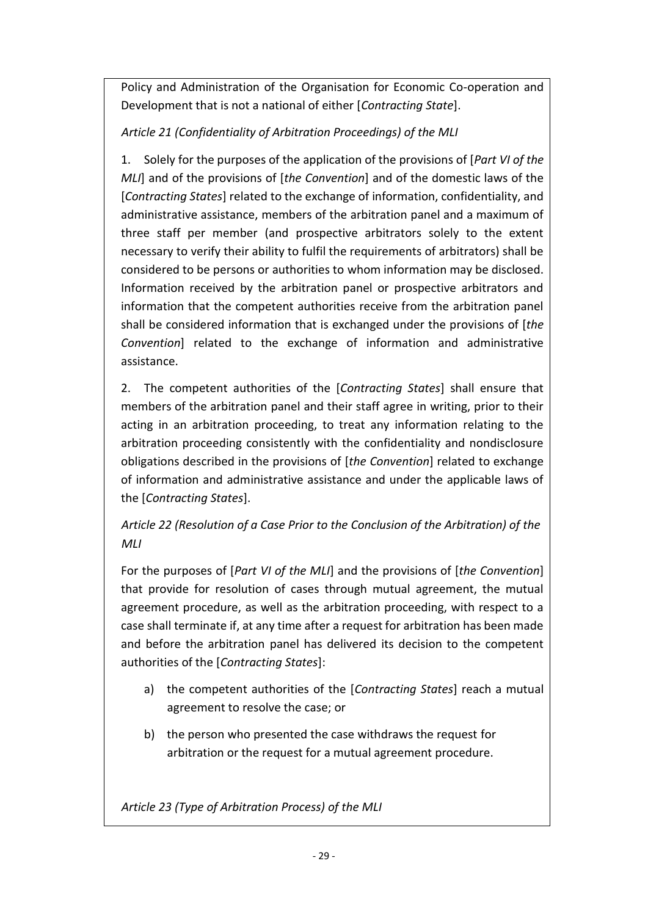Policy and Administration of the Organisation for Economic Co-operation and Development that is not a national of either [*Contracting State*].

# *Article 21 (Confidentiality of Arbitration Proceedings) of the MLI*

1. Solely for the purposes of the application of the provisions of [*Part VI of the MLI*] and of the provisions of [*the Convention*] and of the domestic laws of the [*Contracting States*] related to the exchange of information, confidentiality, and administrative assistance, members of the arbitration panel and a maximum of three staff per member (and prospective arbitrators solely to the extent necessary to verify their ability to fulfil the requirements of arbitrators) shall be considered to be persons or authorities to whom information may be disclosed. Information received by the arbitration panel or prospective arbitrators and information that the competent authorities receive from the arbitration panel shall be considered information that is exchanged under the provisions of [*the Convention*] related to the exchange of information and administrative assistance.

2. The competent authorities of the [*Contracting States*] shall ensure that members of the arbitration panel and their staff agree in writing, prior to their acting in an arbitration proceeding, to treat any information relating to the arbitration proceeding consistently with the confidentiality and nondisclosure obligations described in the provisions of [*the Convention*] related to exchange of information and administrative assistance and under the applicable laws of the [*Contracting States*].

# *Article 22 (Resolution of a Case Prior to the Conclusion of the Arbitration) of the MLI*

For the purposes of [*Part VI of the MLI*] and the provisions of [*the Convention*] that provide for resolution of cases through mutual agreement, the mutual agreement procedure, as well as the arbitration proceeding, with respect to a case shall terminate if, at any time after a request for arbitration has been made and before the arbitration panel has delivered its decision to the competent authorities of the [*Contracting States*]:

- a) the competent authorities of the [*Contracting States*] reach a mutual agreement to resolve the case; or
- b) the person who presented the case withdraws the request for arbitration or the request for a mutual agreement procedure.

*Article 23 (Type of Arbitration Process) of the MLI*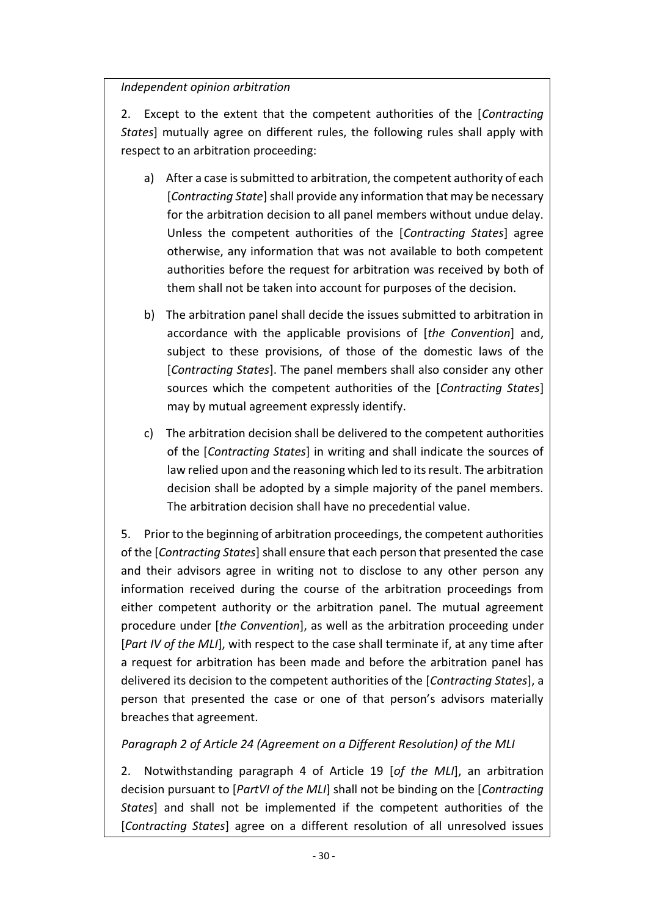#### *Independent opinion arbitration*

2. Except to the extent that the competent authorities of the [*Contracting States*] mutually agree on different rules, the following rules shall apply with respect to an arbitration proceeding:

- a) After a case is submitted to arbitration, the competent authority of each [*Contracting State*] shall provide any information that may be necessary for the arbitration decision to all panel members without undue delay. Unless the competent authorities of the [*Contracting States*] agree otherwise, any information that was not available to both competent authorities before the request for arbitration was received by both of them shall not be taken into account for purposes of the decision.
- b) The arbitration panel shall decide the issues submitted to arbitration in accordance with the applicable provisions of [*the Convention*] and, subject to these provisions, of those of the domestic laws of the [*Contracting States*]. The panel members shall also consider any other sources which the competent authorities of the [*Contracting States*] may by mutual agreement expressly identify.
- c) The arbitration decision shall be delivered to the competent authorities of the [*Contracting States*] in writing and shall indicate the sources of law relied upon and the reasoning which led to its result. The arbitration decision shall be adopted by a simple majority of the panel members. The arbitration decision shall have no precedential value.

5. Prior to the beginning of arbitration proceedings, the competent authorities of the [*Contracting States*] shall ensure that each person that presented the case and their advisors agree in writing not to disclose to any other person any information received during the course of the arbitration proceedings from either competent authority or the arbitration panel. The mutual agreement procedure under [*the Convention*], as well as the arbitration proceeding under [*Part IV of the MLI*], with respect to the case shall terminate if, at any time after a request for arbitration has been made and before the arbitration panel has delivered its decision to the competent authorities of the [*Contracting States*], a person that presented the case or one of that person's advisors materially breaches that agreement.

# *Paragraph 2 of Article 24 (Agreement on a Different Resolution) of the MLI*

2. Notwithstanding paragraph 4 of Article 19 [*of the MLI*], an arbitration decision pursuant to [*PartVI of the MLI*] shall not be binding on the [*Contracting States*] and shall not be implemented if the competent authorities of the [*Contracting States*] agree on a different resolution of all unresolved issues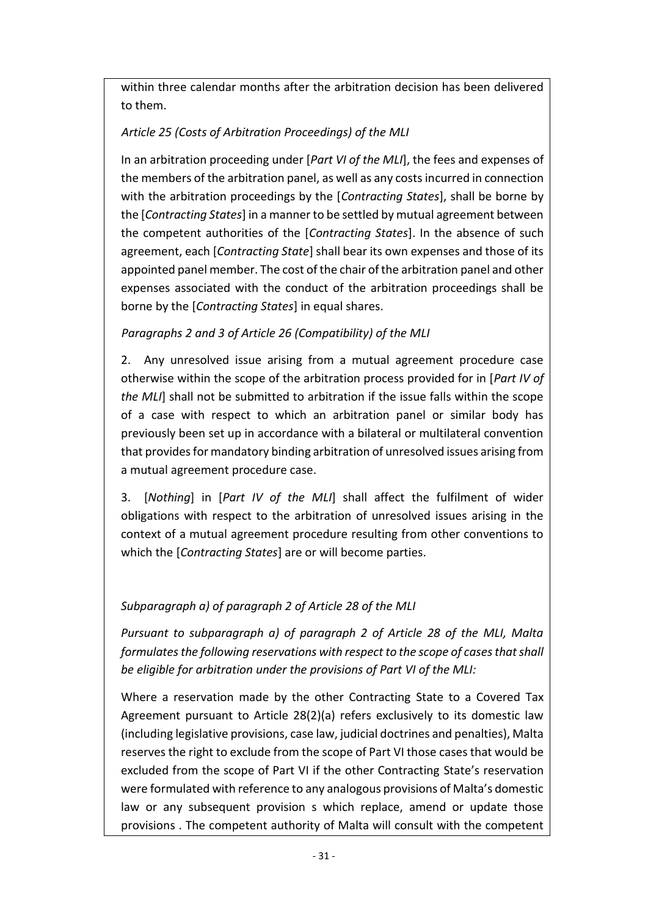within three calendar months after the arbitration decision has been delivered to them.

# *Article 25 (Costs of Arbitration Proceedings) of the MLI*

In an arbitration proceeding under [*Part VI of the MLI*], the fees and expenses of the members of the arbitration panel, as well as any costs incurred in connection with the arbitration proceedings by the [*Contracting States*], shall be borne by the [*Contracting States*] in a manner to be settled by mutual agreement between the competent authorities of the [*Contracting States*]. In the absence of such agreement, each [*Contracting State*] shall bear its own expenses and those of its appointed panel member. The cost of the chair of the arbitration panel and other expenses associated with the conduct of the arbitration proceedings shall be borne by the [*Contracting States*] in equal shares.

# *Paragraphs 2 and 3 of Article 26 (Compatibility) of the MLI*

2. Any unresolved issue arising from a mutual agreement procedure case otherwise within the scope of the arbitration process provided for in [*Part IV of the MLI*] shall not be submitted to arbitration if the issue falls within the scope of a case with respect to which an arbitration panel or similar body has previously been set up in accordance with a bilateral or multilateral convention that provides for mandatory binding arbitration of unresolved issues arising from a mutual agreement procedure case.

3. [*Nothing*] in [*Part IV of the MLI*] shall affect the fulfilment of wider obligations with respect to the arbitration of unresolved issues arising in the context of a mutual agreement procedure resulting from other conventions to which the [*Contracting States*] are or will become parties.

# *Subparagraph a) of paragraph 2 of Article 28 of the MLI*

*Pursuant to subparagraph a) of paragraph 2 of Article 28 of the MLI, Malta formulates the following reservations with respect to the scope of cases that shall be eligible for arbitration under the provisions of Part VI of the MLI:*

Where a reservation made by the other Contracting State to a Covered Tax Agreement pursuant to Article 28(2)(a) refers exclusively to its domestic law (including legislative provisions, case law, judicial doctrines and penalties), Malta reserves the right to exclude from the scope of Part VI those cases that would be excluded from the scope of Part VI if the other Contracting State's reservation were formulated with reference to any analogous provisions of Malta's domestic law or any subsequent provision s which replace, amend or update those provisions . The competent authority of Malta will consult with the competent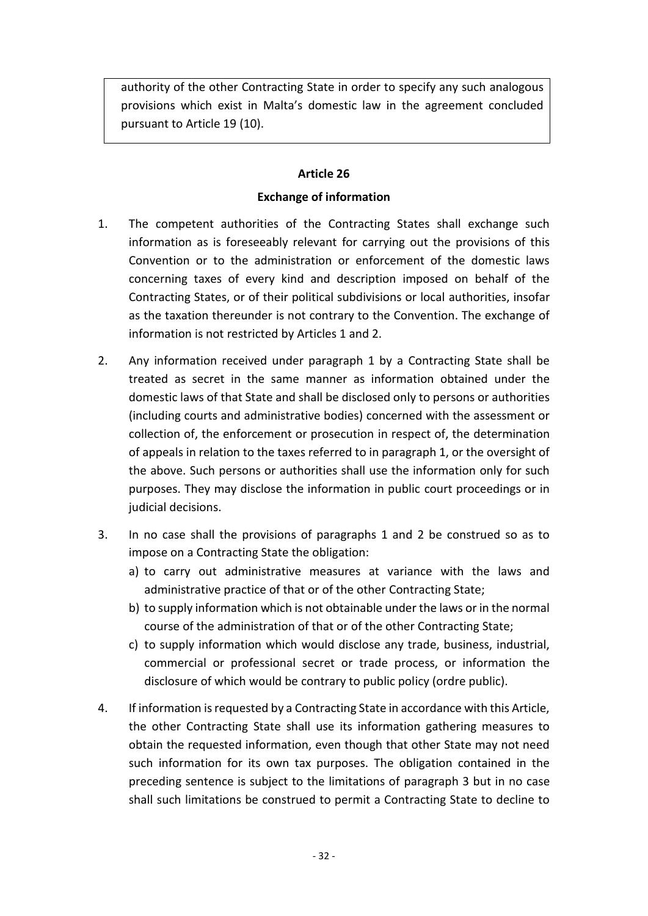authority of the other Contracting State in order to specify any such analogous provisions which exist in Malta's domestic law in the agreement concluded pursuant to Article 19 (10).

# **Article 26 Exchange of information**

- 1. The competent authorities of the Contracting States shall exchange such information as is foreseeably relevant for carrying out the provisions of this Convention or to the administration or enforcement of the domestic laws concerning taxes of every kind and description imposed on behalf of the Contracting States, or of their political subdivisions or local authorities, insofar as the taxation thereunder is not contrary to the Convention. The exchange of information is not restricted by Articles 1 and 2.
- 2. Any information received under paragraph 1 by a Contracting State shall be treated as secret in the same manner as information obtained under the domestic laws of that State and shall be disclosed only to persons or authorities (including courts and administrative bodies) concerned with the assessment or collection of, the enforcement or prosecution in respect of, the determination of appeals in relation to the taxes referred to in paragraph 1, or the oversight of the above. Such persons or authorities shall use the information only for such purposes. They may disclose the information in public court proceedings or in judicial decisions.
- 3. In no case shall the provisions of paragraphs 1 and 2 be construed so as to impose on a Contracting State the obligation:
	- a) to carry out administrative measures at variance with the laws and administrative practice of that or of the other Contracting State;
	- b) to supply information which is not obtainable under the laws or in the normal course of the administration of that or of the other Contracting State;
	- c) to supply information which would disclose any trade, business, industrial, commercial or professional secret or trade process, or information the disclosure of which would be contrary to public policy (ordre public).
- 4. If information is requested by a Contracting State in accordance with this Article, the other Contracting State shall use its information gathering measures to obtain the requested information, even though that other State may not need such information for its own tax purposes. The obligation contained in the preceding sentence is subject to the limitations of paragraph 3 but in no case shall such limitations be construed to permit a Contracting State to decline to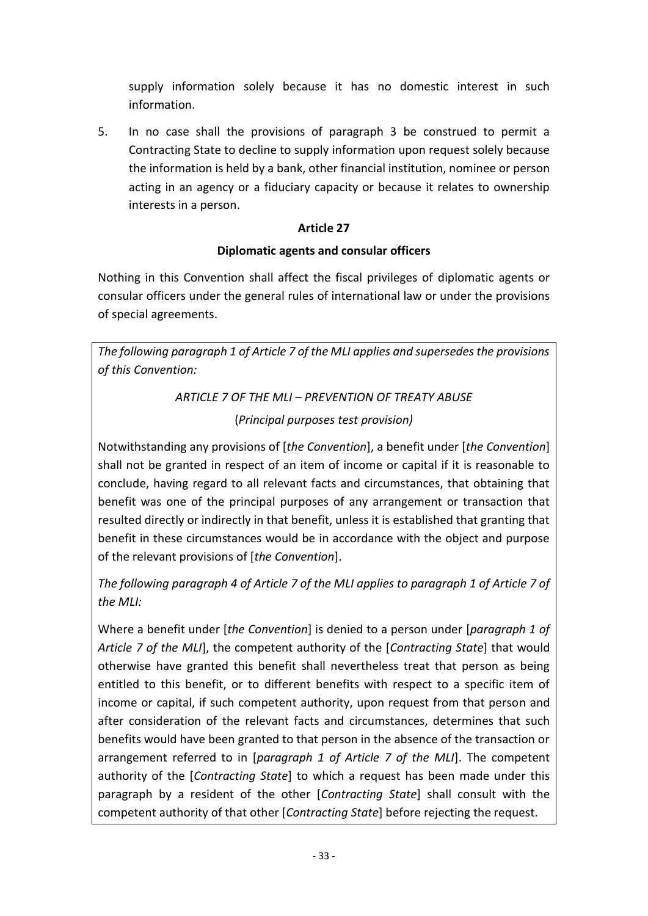supply information solely because it has no domestic interest in such information.

5. In no case shall the provisions of paragraph 3 be construed to permit a Contracting State to decline to supply information upon request solely because the information is held by a bank, other financial institution, nominee or person acting in an agency or a fiduciary capacity or because it relates to ownership interests in a person.

#### **Article 27**

### **Diplomatic agents and consular officers**

Nothing in this Convention shall affect the fiscal privileges of diplomatic agents or consular officers under the general rules of international law or under the provisions of special agreements.

*The following paragraph 1 of Article 7 of the MLI applies and supersedes the provisions of this Convention:*

> *ARTICLE 7 OF THE MLI – PREVENTION OF TREATY ABUSE* (*Principal purposes test provision)*

Notwithstanding any provisions of [*the Convention*], a benefit under [*the Convention*] shall not be granted in respect of an item of income or capital if it is reasonable to conclude, having regard to all relevant facts and circumstances, that obtaining that benefit was one of the principal purposes of any arrangement or transaction that resulted directly or indirectly in that benefit, unless it is established that granting that benefit in these circumstances would be in accordance with the object and purpose of the relevant provisions of [*the Convention*].

*The following paragraph 4 of Article 7 of the MLI applies to paragraph 1 of Article 7 of the MLI:*

Where a benefit under [*the Convention*] is denied to a person under [*paragraph 1 of Article 7 of the MLI*], the competent authority of the [*Contracting State*] that would otherwise have granted this benefit shall nevertheless treat that person as being entitled to this benefit, or to different benefits with respect to a specific item of income or capital, if such competent authority, upon request from that person and after consideration of the relevant facts and circumstances, determines that such benefits would have been granted to that person in the absence of the transaction or arrangement referred to in [*paragraph 1 of Article 7 of the MLI*]. The competent authority of the [*Contracting State*] to which a request has been made under this paragraph by a resident of the other [*Contracting State*] shall consult with the competent authority of that other [*Contracting State*] before rejecting the request.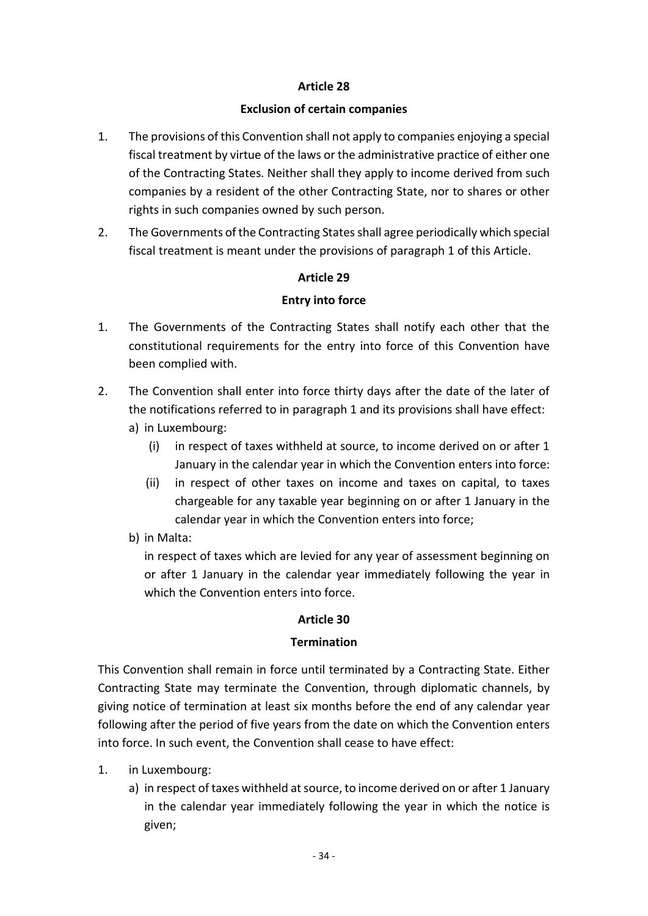#### **Exclusion of certain companies**

- 1. The provisions of this Convention shall not apply to companies enjoying a special fiscal treatment by virtue of the laws or the administrative practice of either one of the Contracting States. Neither shall they apply to income derived from such companies by a resident of the other Contracting State, nor to shares or other rights in such companies owned by such person.
- 2. The Governments of the Contracting States shall agree periodically which special fiscal treatment is meant under the provisions of paragraph 1 of this Article.

#### **Article 29**

#### **Entry into force**

- 1. The Governments of the Contracting States shall notify each other that the constitutional requirements for the entry into force of this Convention have been complied with.
- 2. The Convention shall enter into force thirty days after the date of the later of the notifications referred to in paragraph 1 and its provisions shall have effect:
	- a) in Luxembourg:
		- (i) in respect of taxes withheld at source, to income derived on or after 1 January in the calendar year in which the Convention enters into force:
		- (ii) in respect of other taxes on income and taxes on capital, to taxes chargeable for any taxable year beginning on or after 1 January in the calendar year in which the Convention enters into force;
	- b) in Malta:

in respect of taxes which are levied for any year of assessment beginning on or after 1 January in the calendar year immediately following the year in which the Convention enters into force.

#### **Article 30**

#### **Termination**

This Convention shall remain in force until terminated by a Contracting State. Either Contracting State may terminate the Convention, through diplomatic channels, by giving notice of termination at least six months before the end of any calendar year following after the period of five years from the date on which the Convention enters into force. In such event, the Convention shall cease to have effect:

- 1. in Luxembourg:
	- a) in respect of taxes withheld at source, to income derived on or after 1 January in the calendar year immediately following the year in which the notice is given;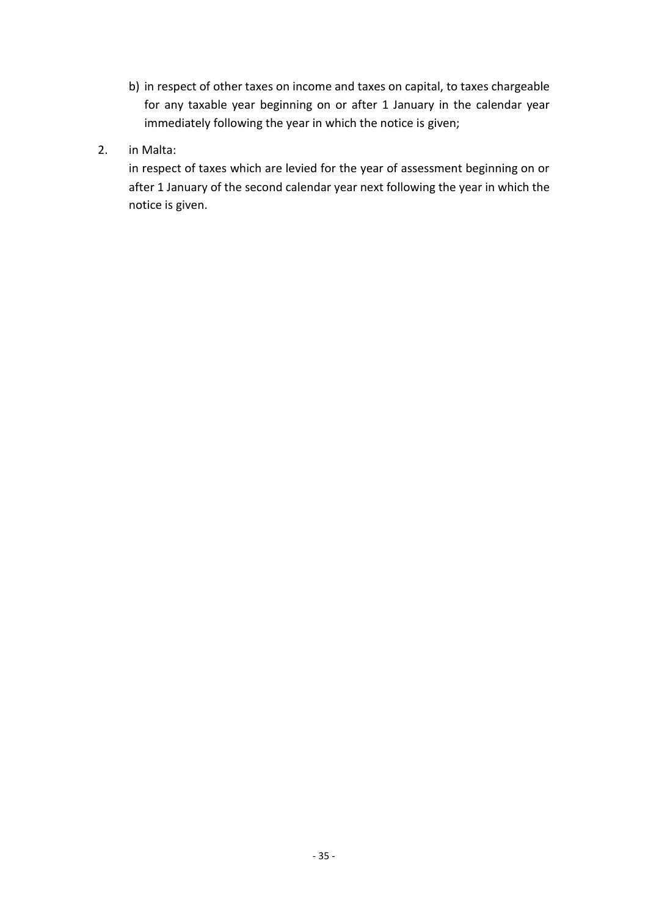b) in respect of other taxes on income and taxes on capital, to taxes chargeable for any taxable year beginning on or after 1 January in the calendar year immediately following the year in which the notice is given;

#### 2. in Malta:

in respect of taxes which are levied for the year of assessment beginning on or after 1 January of the second calendar year next following the year in which the notice is given.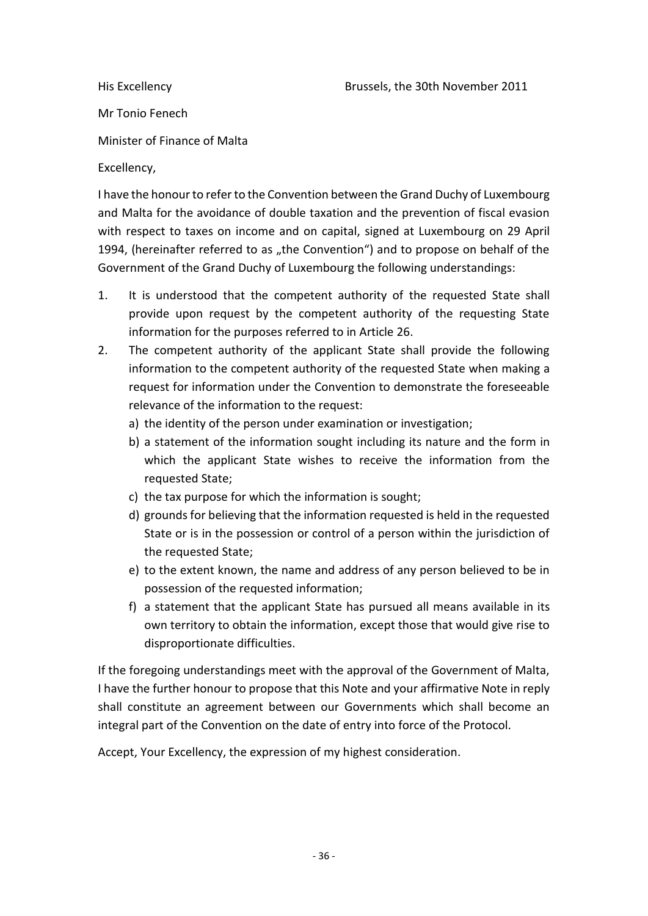His Excellency Brussels, the 30th November 2011

Mr Tonio Fenech

Minister of Finance of Malta

Excellency,

I have the honour to refer to the Convention between the Grand Duchy of Luxembourg and Malta for the avoidance of double taxation and the prevention of fiscal evasion with respect to taxes on income and on capital, signed at Luxembourg on 29 April 1994, (hereinafter referred to as "the Convention") and to propose on behalf of the Government of the Grand Duchy of Luxembourg the following understandings:

- 1. It is understood that the competent authority of the requested State shall provide upon request by the competent authority of the requesting State information for the purposes referred to in Article 26.
- 2. The competent authority of the applicant State shall provide the following information to the competent authority of the requested State when making a request for information under the Convention to demonstrate the foreseeable relevance of the information to the request:
	- a) the identity of the person under examination or investigation;
	- b) a statement of the information sought including its nature and the form in which the applicant State wishes to receive the information from the requested State;
	- c) the tax purpose for which the information is sought;
	- d) grounds for believing that the information requested is held in the requested State or is in the possession or control of a person within the jurisdiction of the requested State;
	- e) to the extent known, the name and address of any person believed to be in possession of the requested information;
	- f) a statement that the applicant State has pursued all means available in its own territory to obtain the information, except those that would give rise to disproportionate difficulties.

If the foregoing understandings meet with the approval of the Government of Malta, I have the further honour to propose that this Note and your affirmative Note in reply shall constitute an agreement between our Governments which shall become an integral part of the Convention on the date of entry into force of the Protocol.

Accept, Your Excellency, the expression of my highest consideration.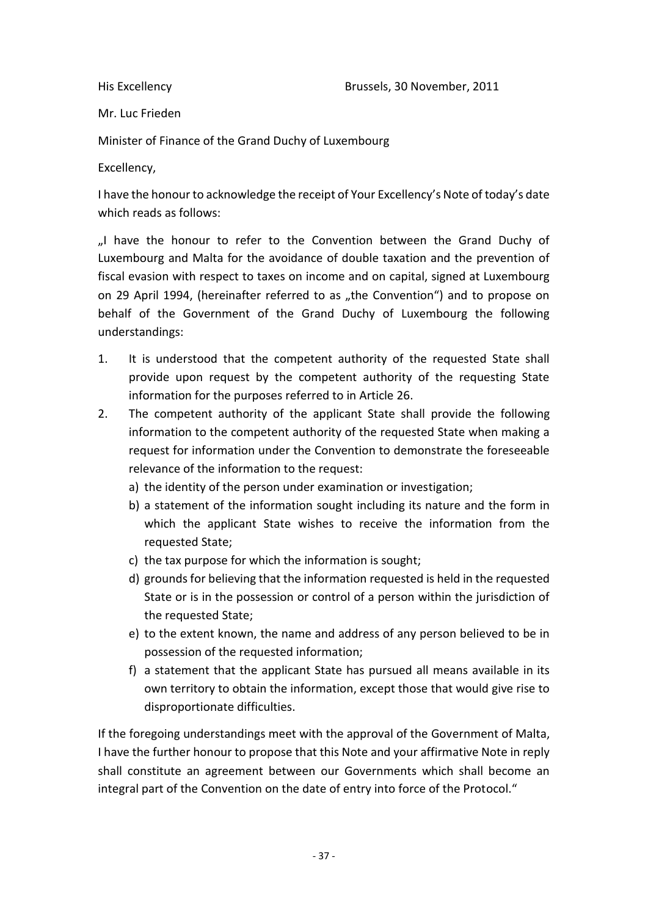Mr. Luc Frieden

Minister of Finance of the Grand Duchy of Luxembourg

Excellency,

I have the honour to acknowledge the receipt of Your Excellency's Note of today's date which reads as follows:

"I have the honour to refer to the Convention between the Grand Duchy of Luxembourg and Malta for the avoidance of double taxation and the prevention of fiscal evasion with respect to taxes on income and on capital, signed at Luxembourg on 29 April 1994, (hereinafter referred to as "the Convention") and to propose on behalf of the Government of the Grand Duchy of Luxembourg the following understandings:

- 1. It is understood that the competent authority of the requested State shall provide upon request by the competent authority of the requesting State information for the purposes referred to in Article 26.
- 2. The competent authority of the applicant State shall provide the following information to the competent authority of the requested State when making a request for information under the Convention to demonstrate the foreseeable relevance of the information to the request:
	- a) the identity of the person under examination or investigation;
	- b) a statement of the information sought including its nature and the form in which the applicant State wishes to receive the information from the requested State;
	- c) the tax purpose for which the information is sought;
	- d) grounds for believing that the information requested is held in the requested State or is in the possession or control of a person within the jurisdiction of the requested State;
	- e) to the extent known, the name and address of any person believed to be in possession of the requested information;
	- f) a statement that the applicant State has pursued all means available in its own territory to obtain the information, except those that would give rise to disproportionate difficulties.

If the foregoing understandings meet with the approval of the Government of Malta, I have the further honour to propose that this Note and your affirmative Note in reply shall constitute an agreement between our Governments which shall become an integral part of the Convention on the date of entry into force of the Protocol."